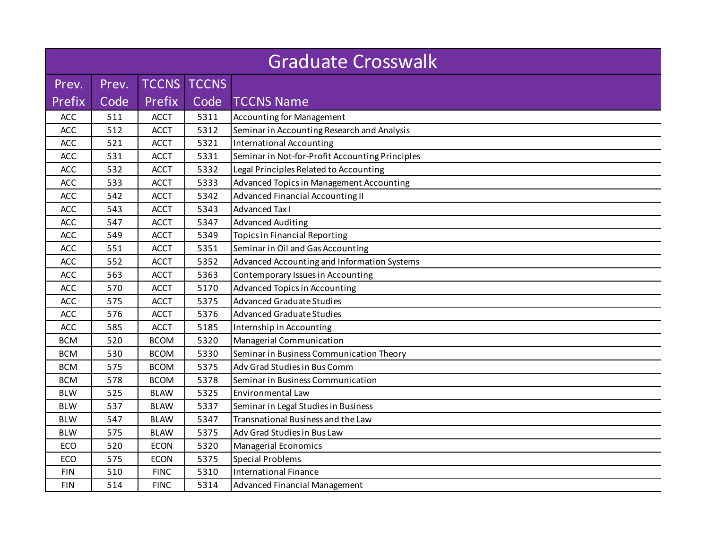| <b>Graduate Crosswalk</b> |       |              |              |                                                 |  |  |  |
|---------------------------|-------|--------------|--------------|-------------------------------------------------|--|--|--|
| Prev.                     | Prev. | <b>TCCNS</b> | <b>TCCNS</b> |                                                 |  |  |  |
| Prefix                    | Code  | Prefix       | Code         | <b>TCCNS Name</b>                               |  |  |  |
| <b>ACC</b>                | 511   | <b>ACCT</b>  | 5311         | <b>Accounting for Management</b>                |  |  |  |
| ACC                       | 512   | <b>ACCT</b>  | 5312         | Seminar in Accounting Research and Analysis     |  |  |  |
| ACC                       | 521   | <b>ACCT</b>  | 5321         | <b>International Accounting</b>                 |  |  |  |
| ACC                       | 531   | <b>ACCT</b>  | 5331         | Seminar in Not-for-Profit Accounting Principles |  |  |  |
| ACC                       | 532   | <b>ACCT</b>  | 5332         | Legal Principles Related to Accounting          |  |  |  |
| ACC                       | 533   | <b>ACCT</b>  | 5333         | Advanced Topics in Management Accounting        |  |  |  |
| ACC                       | 542   | <b>ACCT</b>  | 5342         | Advanced Financial Accounting II                |  |  |  |
| ACC                       | 543   | <b>ACCT</b>  | 5343         | <b>Advanced Tax I</b>                           |  |  |  |
| ACC                       | 547   | <b>ACCT</b>  | 5347         | <b>Advanced Auditing</b>                        |  |  |  |
| ACC                       | 549   | <b>ACCT</b>  | 5349         | <b>Topics in Financial Reporting</b>            |  |  |  |
| <b>ACC</b>                | 551   | <b>ACCT</b>  | 5351         | Seminar in Oil and Gas Accounting               |  |  |  |
| ACC                       | 552   | <b>ACCT</b>  | 5352         | Advanced Accounting and Information Systems     |  |  |  |
| ACC                       | 563   | <b>ACCT</b>  | 5363         | Contemporary Issues in Accounting               |  |  |  |
| ACC                       | 570   | <b>ACCT</b>  | 5170         | <b>Advanced Topics in Accounting</b>            |  |  |  |
| ACC                       | 575   | <b>ACCT</b>  | 5375         | <b>Advanced Graduate Studies</b>                |  |  |  |
| ACC                       | 576   | <b>ACCT</b>  | 5376         | <b>Advanced Graduate Studies</b>                |  |  |  |
| ACC                       | 585   | <b>ACCT</b>  | 5185         | Internship in Accounting                        |  |  |  |
| <b>BCM</b>                | 520   | <b>BCOM</b>  | 5320         | Managerial Communication                        |  |  |  |
| <b>BCM</b>                | 530   | <b>BCOM</b>  | 5330         | Seminar in Business Communication Theory        |  |  |  |
| <b>BCM</b>                | 575   | <b>BCOM</b>  | 5375         | Adv Grad Studies in Bus Comm                    |  |  |  |
| <b>BCM</b>                | 578   | <b>BCOM</b>  | 5378         | Seminar in Business Communication               |  |  |  |
| <b>BLW</b>                | 525   | <b>BLAW</b>  | 5325         | Environmental Law                               |  |  |  |
| <b>BLW</b>                | 537   | <b>BLAW</b>  | 5337         | Seminar in Legal Studies in Business            |  |  |  |
| <b>BLW</b>                | 547   | <b>BLAW</b>  | 5347         | Transnational Business and the Law              |  |  |  |
| <b>BLW</b>                | 575   | <b>BLAW</b>  | 5375         | Adv Grad Studies in Bus Law                     |  |  |  |
| ECO                       | 520   | <b>ECON</b>  | 5320         | Managerial Economics                            |  |  |  |
| ECO                       | 575   | <b>ECON</b>  | 5375         | <b>Special Problems</b>                         |  |  |  |
| <b>FIN</b>                | 510   | <b>FINC</b>  | 5310         | <b>International Finance</b>                    |  |  |  |
| <b>FIN</b>                | 514   | <b>FINC</b>  | 5314         | Advanced Financial Management                   |  |  |  |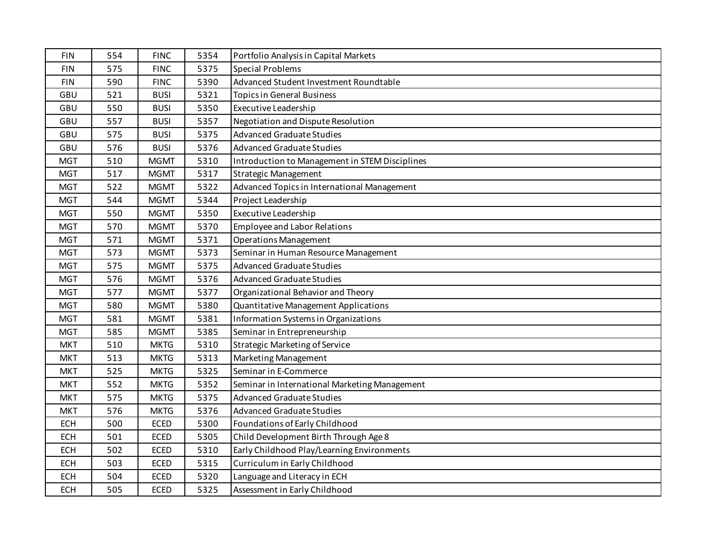| <b>FIN</b> | 554 | <b>FINC</b> | 5354 | Portfolio Analysis in Capital Markets          |
|------------|-----|-------------|------|------------------------------------------------|
| <b>FIN</b> | 575 | <b>FINC</b> | 5375 | <b>Special Problems</b>                        |
| <b>FIN</b> | 590 | <b>FINC</b> | 5390 | Advanced Student Investment Roundtable         |
| GBU        | 521 | <b>BUSI</b> | 5321 | <b>Topics in General Business</b>              |
| GBU        | 550 | <b>BUSI</b> | 5350 | Executive Leadership                           |
| GBU        | 557 | <b>BUSI</b> | 5357 | Negotiation and Dispute Resolution             |
| GBU        | 575 | <b>BUSI</b> | 5375 | <b>Advanced Graduate Studies</b>               |
| GBU        | 576 | <b>BUSI</b> | 5376 | <b>Advanced Graduate Studies</b>               |
| <b>MGT</b> | 510 | <b>MGMT</b> | 5310 | Introduction to Management in STEM Disciplines |
| <b>MGT</b> | 517 | <b>MGMT</b> | 5317 | <b>Strategic Management</b>                    |
| <b>MGT</b> | 522 | <b>MGMT</b> | 5322 | Advanced Topics in International Management    |
| <b>MGT</b> | 544 | <b>MGMT</b> | 5344 | Project Leadership                             |
| <b>MGT</b> | 550 | <b>MGMT</b> | 5350 | <b>Executive Leadership</b>                    |
| <b>MGT</b> | 570 | <b>MGMT</b> | 5370 | <b>Employee and Labor Relations</b>            |
| <b>MGT</b> | 571 | <b>MGMT</b> | 5371 | <b>Operations Management</b>                   |
| <b>MGT</b> | 573 | <b>MGMT</b> | 5373 | Seminar in Human Resource Management           |
| <b>MGT</b> | 575 | <b>MGMT</b> | 5375 | <b>Advanced Graduate Studies</b>               |
| <b>MGT</b> | 576 | <b>MGMT</b> | 5376 | <b>Advanced Graduate Studies</b>               |
| <b>MGT</b> | 577 | <b>MGMT</b> | 5377 | Organizational Behavior and Theory             |
| <b>MGT</b> | 580 | <b>MGMT</b> | 5380 | Quantitative Management Applications           |
| <b>MGT</b> | 581 | <b>MGMT</b> | 5381 | Information Systems in Organizations           |
| <b>MGT</b> | 585 | <b>MGMT</b> | 5385 | Seminar in Entrepreneurship                    |
| <b>MKT</b> | 510 | <b>MKTG</b> | 5310 | <b>Strategic Marketing of Service</b>          |
| <b>MKT</b> | 513 | <b>MKTG</b> | 5313 | Marketing Management                           |
| <b>MKT</b> | 525 | <b>MKTG</b> | 5325 | Seminar in E-Commerce                          |
| <b>MKT</b> | 552 | <b>MKTG</b> | 5352 | Seminar in International Marketing Management  |
| <b>MKT</b> | 575 | <b>MKTG</b> | 5375 | <b>Advanced Graduate Studies</b>               |
| <b>MKT</b> | 576 | <b>MKTG</b> | 5376 | <b>Advanced Graduate Studies</b>               |
| <b>ECH</b> | 500 | <b>ECED</b> | 5300 | Foundations of Early Childhood                 |
| <b>ECH</b> | 501 | <b>ECED</b> | 5305 | Child Development Birth Through Age 8          |
| <b>ECH</b> | 502 | <b>ECED</b> | 5310 | Early Childhood Play/Learning Environments     |
| <b>ECH</b> | 503 | <b>ECED</b> | 5315 | Curriculum in Early Childhood                  |
| <b>ECH</b> | 504 | <b>ECED</b> | 5320 | Language and Literacy in ECH                   |
| <b>ECH</b> | 505 | <b>ECED</b> | 5325 | Assessment in Early Childhood                  |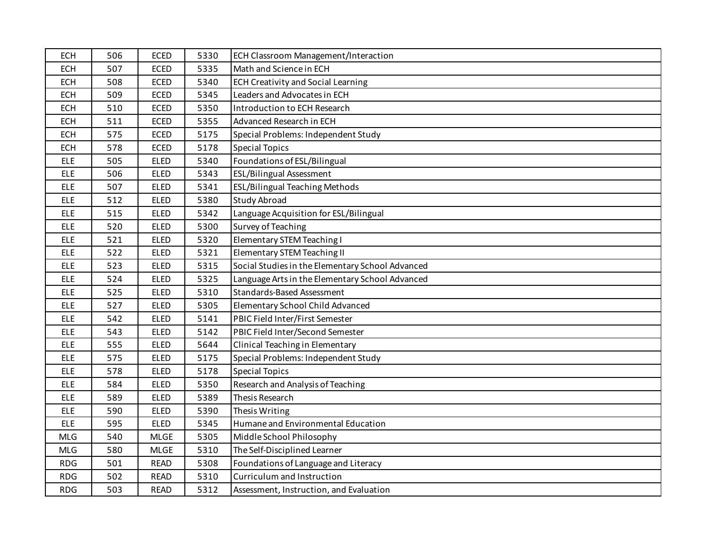| <b>ECH</b> | 506 | <b>ECED</b> | 5330 | ECH Classroom Management/Interaction             |
|------------|-----|-------------|------|--------------------------------------------------|
| <b>ECH</b> | 507 | <b>ECED</b> | 5335 | Math and Science in ECH                          |
| <b>ECH</b> | 508 | <b>ECED</b> | 5340 | <b>ECH Creativity and Social Learning</b>        |
| <b>ECH</b> | 509 | <b>ECED</b> | 5345 | Leaders and Advocates in ECH                     |
| <b>ECH</b> | 510 | <b>ECED</b> | 5350 | Introduction to ECH Research                     |
| <b>ECH</b> | 511 | <b>ECED</b> | 5355 | <b>Advanced Research in ECH</b>                  |
| <b>ECH</b> | 575 | <b>ECED</b> | 5175 | Special Problems: Independent Study              |
| ECH        | 578 | <b>ECED</b> | 5178 | <b>Special Topics</b>                            |
| <b>ELE</b> | 505 | <b>ELED</b> | 5340 | Foundations of ESL/Bilingual                     |
| <b>ELE</b> | 506 | <b>ELED</b> | 5343 | ESL/Bilingual Assessment                         |
| <b>ELE</b> | 507 | <b>ELED</b> | 5341 | <b>ESL/Bilingual Teaching Methods</b>            |
| <b>ELE</b> | 512 | <b>ELED</b> | 5380 | <b>Study Abroad</b>                              |
| <b>ELE</b> | 515 | <b>ELED</b> | 5342 | Language Acquisition for ESL/Bilingual           |
| <b>ELE</b> | 520 | <b>ELED</b> | 5300 | Survey of Teaching                               |
| <b>ELE</b> | 521 | <b>ELED</b> | 5320 | Elementary STEM Teaching I                       |
| <b>ELE</b> | 522 | <b>ELED</b> | 5321 | Elementary STEM Teaching II                      |
| <b>ELE</b> | 523 | <b>ELED</b> | 5315 | Social Studies in the Elementary School Advanced |
| <b>ELE</b> | 524 | <b>ELED</b> | 5325 | Language Arts in the Elementary School Advanced  |
| <b>ELE</b> | 525 | <b>ELED</b> | 5310 | Standards-Based Assessment                       |
| <b>ELE</b> | 527 | <b>ELED</b> | 5305 | Elementary School Child Advanced                 |
| <b>ELE</b> | 542 | <b>ELED</b> | 5141 | PBIC Field Inter/First Semester                  |
| <b>ELE</b> | 543 | <b>ELED</b> | 5142 | PBIC Field Inter/Second Semester                 |
| <b>ELE</b> | 555 | <b>ELED</b> | 5644 | Clinical Teaching in Elementary                  |
| <b>ELE</b> | 575 | <b>ELED</b> | 5175 | Special Problems: Independent Study              |
| <b>ELE</b> | 578 | <b>ELED</b> | 5178 | <b>Special Topics</b>                            |
| <b>ELE</b> | 584 | <b>ELED</b> | 5350 | Research and Analysis of Teaching                |
| <b>ELE</b> | 589 | <b>ELED</b> | 5389 | Thesis Research                                  |
| <b>ELE</b> | 590 | <b>ELED</b> | 5390 | Thesis Writing                                   |
| <b>ELE</b> | 595 | <b>ELED</b> | 5345 | Humane and Environmental Education               |
| <b>MLG</b> | 540 | <b>MLGE</b> | 5305 | Middle School Philosophy                         |
| <b>MLG</b> | 580 | <b>MLGE</b> | 5310 | The Self-Disciplined Learner                     |
| <b>RDG</b> | 501 | <b>READ</b> | 5308 | Foundations of Language and Literacy             |
| <b>RDG</b> | 502 | <b>READ</b> | 5310 | Curriculum and Instruction                       |
| <b>RDG</b> | 503 | <b>READ</b> | 5312 | Assessment, Instruction, and Evaluation          |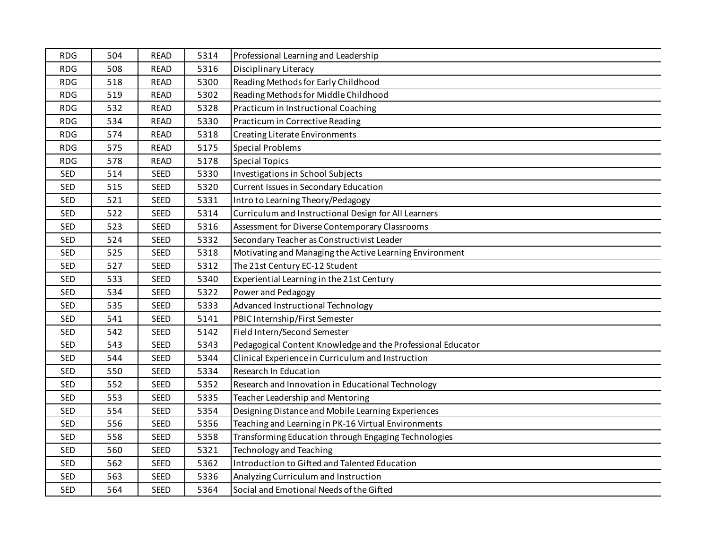| <b>RDG</b> | 504 | <b>READ</b> | 5314 | Professional Learning and Leadership                        |
|------------|-----|-------------|------|-------------------------------------------------------------|
| <b>RDG</b> | 508 | <b>READ</b> | 5316 | Disciplinary Literacy                                       |
| <b>RDG</b> | 518 | <b>READ</b> | 5300 | Reading Methods for Early Childhood                         |
| <b>RDG</b> | 519 | <b>READ</b> | 5302 | Reading Methods for Middle Childhood                        |
| <b>RDG</b> | 532 | <b>READ</b> | 5328 | Practicum in Instructional Coaching                         |
| <b>RDG</b> | 534 | <b>READ</b> | 5330 | Practicum in Corrective Reading                             |
| <b>RDG</b> | 574 | <b>READ</b> | 5318 | Creating Literate Environments                              |
| <b>RDG</b> | 575 | <b>READ</b> | 5175 | <b>Special Problems</b>                                     |
| <b>RDG</b> | 578 | <b>READ</b> | 5178 | <b>Special Topics</b>                                       |
| <b>SED</b> | 514 | <b>SEED</b> | 5330 | Investigations in School Subjects                           |
| <b>SED</b> | 515 | <b>SEED</b> | 5320 | Current Issues in Secondary Education                       |
| <b>SED</b> | 521 | <b>SEED</b> | 5331 | Intro to Learning Theory/Pedagogy                           |
| <b>SED</b> | 522 | <b>SEED</b> | 5314 | Curriculum and Instructional Design for All Learners        |
| <b>SED</b> | 523 | SEED        | 5316 | Assessment for Diverse Contemporary Classrooms              |
| <b>SED</b> | 524 | <b>SEED</b> | 5332 | Secondary Teacher as Constructivist Leader                  |
| <b>SED</b> | 525 | <b>SEED</b> | 5318 | Motivating and Managing the Active Learning Environment     |
| <b>SED</b> | 527 | <b>SEED</b> | 5312 | The 21st Century EC-12 Student                              |
| SED        | 533 | SEED        | 5340 | Experiential Learning in the 21st Century                   |
| <b>SED</b> | 534 | <b>SEED</b> | 5322 | Power and Pedagogy                                          |
| <b>SED</b> | 535 | <b>SEED</b> | 5333 | Advanced Instructional Technology                           |
| <b>SED</b> | 541 | <b>SEED</b> | 5141 | PBIC Internship/First Semester                              |
| <b>SED</b> | 542 | <b>SEED</b> | 5142 | Field Intern/Second Semester                                |
| <b>SED</b> | 543 | <b>SEED</b> | 5343 | Pedagogical Content Knowledge and the Professional Educator |
| <b>SED</b> | 544 | SEED        | 5344 | Clinical Experience in Curriculum and Instruction           |
| <b>SED</b> | 550 | SEED        | 5334 | Research In Education                                       |
| <b>SED</b> | 552 | SEED        | 5352 | Research and Innovation in Educational Technology           |
| <b>SED</b> | 553 | SEED        | 5335 | Teacher Leadership and Mentoring                            |
| SED        | 554 | <b>SEED</b> | 5354 | Designing Distance and Mobile Learning Experiences          |
| <b>SED</b> | 556 | <b>SEED</b> | 5356 | Teaching and Learning in PK-16 Virtual Environments         |
| <b>SED</b> | 558 | <b>SEED</b> | 5358 | Transforming Education through Engaging Technologies        |
| <b>SED</b> | 560 | <b>SEED</b> | 5321 | <b>Technology and Teaching</b>                              |
| <b>SED</b> | 562 | <b>SEED</b> | 5362 | Introduction to Gifted and Talented Education               |
| <b>SED</b> | 563 | <b>SEED</b> | 5336 | Analyzing Curriculum and Instruction                        |
| <b>SED</b> | 564 | <b>SEED</b> | 5364 | Social and Emotional Needs of the Gifted                    |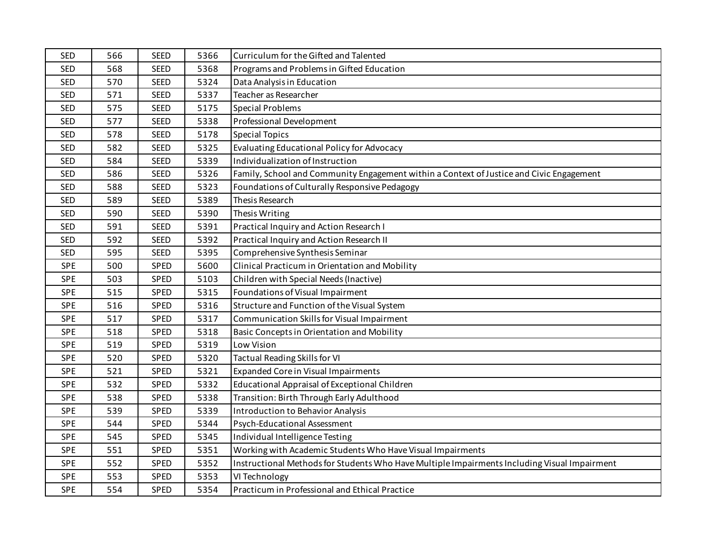| <b>SED</b> | 566 | <b>SEED</b> | 5366 | Curriculum for the Gifted and Talented                                                       |
|------------|-----|-------------|------|----------------------------------------------------------------------------------------------|
| <b>SED</b> | 568 | <b>SEED</b> | 5368 | Programs and Problems in Gifted Education                                                    |
| <b>SED</b> | 570 | <b>SEED</b> | 5324 | Data Analysis in Education                                                                   |
| <b>SED</b> | 571 | <b>SEED</b> | 5337 | Teacher as Researcher                                                                        |
| <b>SED</b> | 575 | <b>SEED</b> | 5175 | <b>Special Problems</b>                                                                      |
| <b>SED</b> | 577 | <b>SEED</b> | 5338 | Professional Development                                                                     |
| <b>SED</b> | 578 | <b>SEED</b> | 5178 | <b>Special Topics</b>                                                                        |
| <b>SED</b> | 582 | <b>SEED</b> | 5325 | <b>Evaluating Educational Policy for Advocacy</b>                                            |
| <b>SED</b> | 584 | <b>SEED</b> | 5339 | Individualization of Instruction                                                             |
| <b>SED</b> | 586 | <b>SEED</b> | 5326 | Family, School and Community Engagement within a Context of Justice and Civic Engagement     |
| <b>SED</b> | 588 | <b>SEED</b> | 5323 | Foundations of Culturally Responsive Pedagogy                                                |
| <b>SED</b> | 589 | <b>SEED</b> | 5389 | Thesis Research                                                                              |
| <b>SED</b> | 590 | <b>SEED</b> | 5390 | Thesis Writing                                                                               |
| <b>SED</b> | 591 | <b>SEED</b> | 5391 | Practical Inquiry and Action Research I                                                      |
| <b>SED</b> | 592 | <b>SEED</b> | 5392 | Practical Inquiry and Action Research II                                                     |
| <b>SED</b> | 595 | <b>SEED</b> | 5395 | Comprehensive Synthesis Seminar                                                              |
| <b>SPE</b> | 500 | SPED        | 5600 | Clinical Practicum in Orientation and Mobility                                               |
| <b>SPE</b> | 503 | SPED        | 5103 | Children with Special Needs (Inactive)                                                       |
| <b>SPE</b> | 515 | SPED        | 5315 | Foundations of Visual Impairment                                                             |
| <b>SPE</b> | 516 | <b>SPED</b> | 5316 | Structure and Function of the Visual System                                                  |
| <b>SPE</b> | 517 | SPED        | 5317 | Communication Skills for Visual Impairment                                                   |
| <b>SPE</b> | 518 | SPED        | 5318 | Basic Concepts in Orientation and Mobility                                                   |
| <b>SPE</b> | 519 | SPED        | 5319 | Low Vision                                                                                   |
| <b>SPE</b> | 520 | SPED        | 5320 | <b>Tactual Reading Skills for VI</b>                                                         |
| <b>SPE</b> | 521 | SPED        | 5321 | <b>Expanded Core in Visual Impairments</b>                                                   |
| <b>SPE</b> | 532 | SPED        | 5332 | Educational Appraisal of Exceptional Children                                                |
| <b>SPE</b> | 538 | SPED        | 5338 | Transition: Birth Through Early Adulthood                                                    |
| <b>SPE</b> | 539 | SPED        | 5339 | Introduction to Behavior Analysis                                                            |
| <b>SPE</b> | 544 | SPED        | 5344 | Psych-Educational Assessment                                                                 |
| <b>SPE</b> | 545 | <b>SPED</b> | 5345 | Individual Intelligence Testing                                                              |
| <b>SPE</b> | 551 | SPED        | 5351 | Working with Academic Students Who Have Visual Impairments                                   |
| <b>SPE</b> | 552 | SPED        | 5352 | Instructional Methods for Students Who Have Multiple Impairments Including Visual Impairment |
| SPE        | 553 | SPED        | 5353 | VI Technology                                                                                |
| <b>SPE</b> | 554 | SPED        | 5354 | Practicum in Professional and Ethical Practice                                               |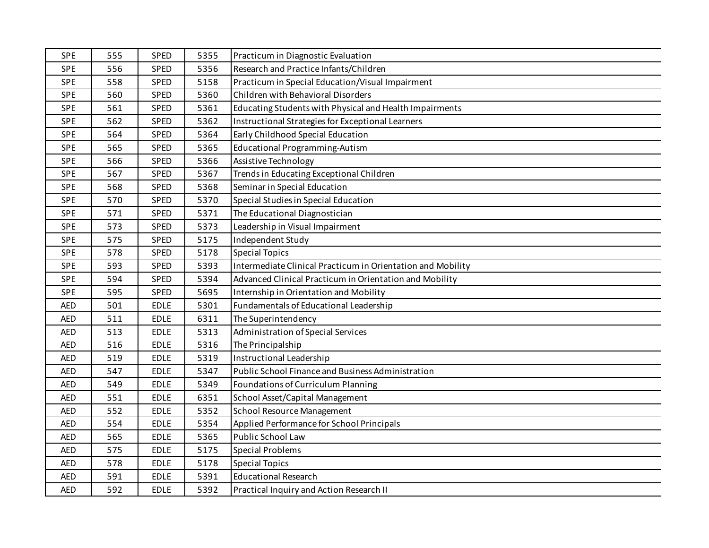| SPE        | 555 | SPED        | 5355 | Practicum in Diagnostic Evaluation                          |
|------------|-----|-------------|------|-------------------------------------------------------------|
| <b>SPE</b> | 556 | SPED        | 5356 | Research and Practice Infants/Children                      |
| <b>SPE</b> | 558 | SPED        | 5158 | Practicum in Special Education/Visual Impairment            |
| <b>SPE</b> | 560 | SPED        | 5360 | Children with Behavioral Disorders                          |
| SPE        | 561 | SPED        | 5361 | Educating Students with Physical and Health Impairments     |
| <b>SPE</b> | 562 | SPED        | 5362 | Instructional Strategies for Exceptional Learners           |
| <b>SPE</b> | 564 | SPED        | 5364 | Early Childhood Special Education                           |
| <b>SPE</b> | 565 | SPED        | 5365 | <b>Educational Programming-Autism</b>                       |
| <b>SPE</b> | 566 | SPED        | 5366 | Assistive Technology                                        |
| <b>SPE</b> | 567 | SPED        | 5367 | Trends in Educating Exceptional Children                    |
| <b>SPE</b> | 568 | SPED        | 5368 | Seminar in Special Education                                |
| <b>SPE</b> | 570 | SPED        | 5370 | Special Studies in Special Education                        |
| <b>SPE</b> | 571 | SPED        | 5371 | The Educational Diagnostician                               |
| <b>SPE</b> | 573 | SPED        | 5373 | Leadership in Visual Impairment                             |
| <b>SPE</b> | 575 | SPED        | 5175 | Independent Study                                           |
| <b>SPE</b> | 578 | SPED        | 5178 | <b>Special Topics</b>                                       |
| <b>SPE</b> | 593 | SPED        | 5393 | Intermediate Clinical Practicum in Orientation and Mobility |
| <b>SPE</b> | 594 | SPED        | 5394 | Advanced Clinical Practicum in Orientation and Mobility     |
| <b>SPE</b> | 595 | SPED        | 5695 | Internship in Orientation and Mobility                      |
| <b>AED</b> | 501 | <b>EDLE</b> | 5301 | Fundamentals of Educational Leadership                      |
| <b>AED</b> | 511 | <b>EDLE</b> | 6311 | The Superintendency                                         |
| <b>AED</b> | 513 | <b>EDLE</b> | 5313 | <b>Administration of Special Services</b>                   |
| <b>AED</b> | 516 | <b>EDLE</b> | 5316 | The Principalship                                           |
| <b>AED</b> | 519 | <b>EDLE</b> | 5319 | Instructional Leadership                                    |
| <b>AED</b> | 547 | <b>EDLE</b> | 5347 | Public School Finance and Business Administration           |
| <b>AED</b> | 549 | EDLE        | 5349 | Foundations of Curriculum Planning                          |
| <b>AED</b> | 551 | <b>EDLE</b> | 6351 | School Asset/Capital Management                             |
| <b>AED</b> | 552 | <b>EDLE</b> | 5352 | School Resource Management                                  |
| <b>AED</b> | 554 | <b>EDLE</b> | 5354 | Applied Performance for School Principals                   |
| <b>AED</b> | 565 | <b>EDLE</b> | 5365 | Public School Law                                           |
| <b>AED</b> | 575 | <b>EDLE</b> | 5175 | <b>Special Problems</b>                                     |
| <b>AED</b> | 578 | <b>EDLE</b> | 5178 | <b>Special Topics</b>                                       |
| <b>AED</b> | 591 | <b>EDLE</b> | 5391 | <b>Educational Research</b>                                 |
| <b>AED</b> | 592 | <b>EDLE</b> | 5392 | Practical Inquiry and Action Research II                    |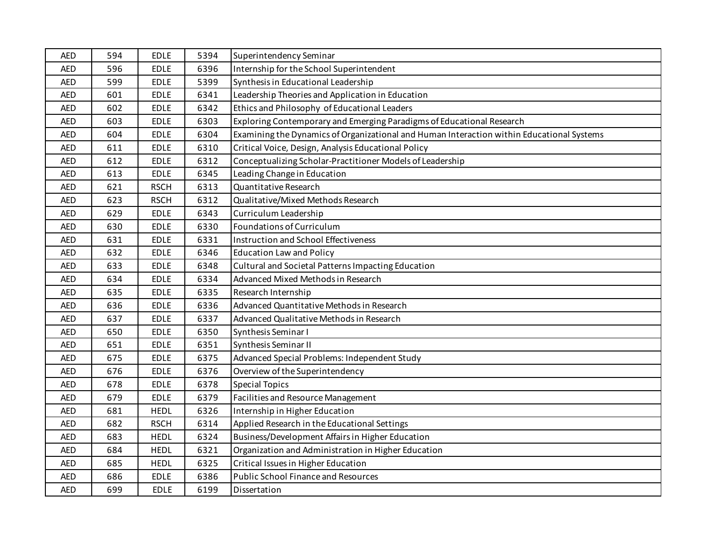| <b>AED</b> | 594 | <b>EDLE</b> | 5394 | Superintendency Seminar                                                                   |
|------------|-----|-------------|------|-------------------------------------------------------------------------------------------|
| <b>AED</b> | 596 | <b>EDLE</b> | 6396 | Internship for the School Superintendent                                                  |
| <b>AED</b> | 599 | <b>EDLE</b> | 5399 | Synthesis in Educational Leadership                                                       |
| <b>AED</b> | 601 | <b>EDLE</b> | 6341 | Leadership Theories and Application in Education                                          |
| <b>AED</b> | 602 | <b>EDLE</b> | 6342 | Ethics and Philosophy of Educational Leaders                                              |
| <b>AED</b> | 603 | <b>EDLE</b> | 6303 | Exploring Contemporary and Emerging Paradigms of Educational Research                     |
| <b>AED</b> | 604 | <b>EDLE</b> | 6304 | Examining the Dynamics of Organizational and Human Interaction within Educational Systems |
| <b>AED</b> | 611 | <b>EDLE</b> | 6310 | Critical Voice, Design, Analysis Educational Policy                                       |
| <b>AED</b> | 612 | <b>EDLE</b> | 6312 | Conceptualizing Scholar-Practitioner Models of Leadership                                 |
| <b>AED</b> | 613 | <b>EDLE</b> | 6345 | Leading Change in Education                                                               |
| <b>AED</b> | 621 | <b>RSCH</b> | 6313 | Quantitative Research                                                                     |
| <b>AED</b> | 623 | <b>RSCH</b> | 6312 | Qualitative/Mixed Methods Research                                                        |
| <b>AED</b> | 629 | <b>EDLE</b> | 6343 | Curriculum Leadership                                                                     |
| <b>AED</b> | 630 | <b>EDLE</b> | 6330 | Foundations of Curriculum                                                                 |
| <b>AED</b> | 631 | <b>EDLE</b> | 6331 | Instruction and School Effectiveness                                                      |
| <b>AED</b> | 632 | <b>EDLE</b> | 6346 | <b>Education Law and Policy</b>                                                           |
| <b>AED</b> | 633 | <b>EDLE</b> | 6348 | Cultural and Societal Patterns Impacting Education                                        |
| <b>AED</b> | 634 | <b>EDLE</b> | 6334 | Advanced Mixed Methods in Research                                                        |
| <b>AED</b> | 635 | <b>EDLE</b> | 6335 | Research Internship                                                                       |
| <b>AED</b> | 636 | <b>EDLE</b> | 6336 | Advanced Quantitative Methods in Research                                                 |
| <b>AED</b> | 637 | <b>EDLE</b> | 6337 | Advanced Qualitative Methods in Research                                                  |
| <b>AED</b> | 650 | <b>EDLE</b> | 6350 | Synthesis Seminar I                                                                       |
| <b>AED</b> | 651 | <b>EDLE</b> | 6351 | Synthesis Seminar II                                                                      |
| <b>AED</b> | 675 | <b>EDLE</b> | 6375 | Advanced Special Problems: Independent Study                                              |
| <b>AED</b> | 676 | <b>EDLE</b> | 6376 | Overview of the Superintendency                                                           |
| <b>AED</b> | 678 | <b>EDLE</b> | 6378 | <b>Special Topics</b>                                                                     |
| <b>AED</b> | 679 | <b>EDLE</b> | 6379 | Facilities and Resource Management                                                        |
| <b>AED</b> | 681 | <b>HEDL</b> | 6326 | Internship in Higher Education                                                            |
| <b>AED</b> | 682 | <b>RSCH</b> | 6314 | Applied Research in the Educational Settings                                              |
| <b>AED</b> | 683 | <b>HEDL</b> | 6324 | Business/Development Affairs in Higher Education                                          |
| <b>AED</b> | 684 | <b>HEDL</b> | 6321 | Organization and Administration in Higher Education                                       |
| <b>AED</b> | 685 | <b>HEDL</b> | 6325 | Critical Issues in Higher Education                                                       |
| <b>AED</b> | 686 | <b>EDLE</b> | 6386 | <b>Public School Finance and Resources</b>                                                |
| <b>AED</b> | 699 | <b>EDLE</b> | 6199 | Dissertation                                                                              |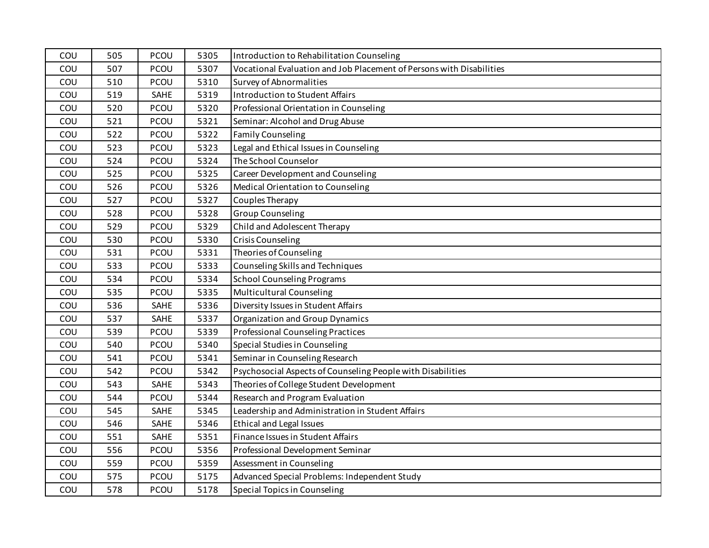| COU | 505 | PCOU | 5305 | Introduction to Rehabilitation Counseling                            |
|-----|-----|------|------|----------------------------------------------------------------------|
| COU | 507 | PCOU | 5307 | Vocational Evaluation and Job Placement of Persons with Disabilities |
| COU | 510 | PCOU | 5310 | Survey of Abnormalities                                              |
| COU | 519 | SAHE | 5319 | Introduction to Student Affairs                                      |
| COU | 520 | PCOU | 5320 | Professional Orientation in Counseling                               |
| COU | 521 | PCOU | 5321 | Seminar: Alcohol and Drug Abuse                                      |
| COU | 522 | PCOU | 5322 | <b>Family Counseling</b>                                             |
| COU | 523 | PCOU | 5323 | Legal and Ethical Issues in Counseling                               |
| COU | 524 | PCOU | 5324 | The School Counselor                                                 |
| COU | 525 | PCOU | 5325 | Career Development and Counseling                                    |
| COU | 526 | PCOU | 5326 | Medical Orientation to Counseling                                    |
| COU | 527 | PCOU | 5327 | Couples Therapy                                                      |
| COU | 528 | PCOU | 5328 | <b>Group Counseling</b>                                              |
| COU | 529 | PCOU | 5329 | Child and Adolescent Therapy                                         |
| COU | 530 | PCOU | 5330 | <b>Crisis Counseling</b>                                             |
| COU | 531 | PCOU | 5331 | Theories of Counseling                                               |
| COU | 533 | PCOU | 5333 | Counseling Skills and Techniques                                     |
| COU | 534 | PCOU | 5334 | <b>School Counseling Programs</b>                                    |
| COU | 535 | PCOU | 5335 | Multicultural Counseling                                             |
| COU | 536 | SAHE | 5336 | Diversity Issues in Student Affairs                                  |
| COU | 537 | SAHE | 5337 | <b>Organization and Group Dynamics</b>                               |
| COU | 539 | PCOU | 5339 | <b>Professional Counseling Practices</b>                             |
| COU | 540 | PCOU | 5340 | Special Studies in Counseling                                        |
| COU | 541 | PCOU | 5341 | Seminar in Counseling Research                                       |
| COU | 542 | PCOU | 5342 | Psychosocial Aspects of Counseling People with Disabilities          |
| COU | 543 | SAHE | 5343 | Theories of College Student Development                              |
| COU | 544 | PCOU | 5344 | Research and Program Evaluation                                      |
| COU | 545 | SAHE | 5345 | Leadership and Administration in Student Affairs                     |
| COU | 546 | SAHE | 5346 | <b>Ethical and Legal Issues</b>                                      |
| COU | 551 | SAHE | 5351 | Finance Issues in Student Affairs                                    |
| COU | 556 | PCOU | 5356 | Professional Development Seminar                                     |
| COU | 559 | PCOU | 5359 | Assessment in Counseling                                             |
| COU | 575 | PCOU | 5175 | Advanced Special Problems: Independent Study                         |
| COU | 578 | PCOU | 5178 | Special Topics in Counseling                                         |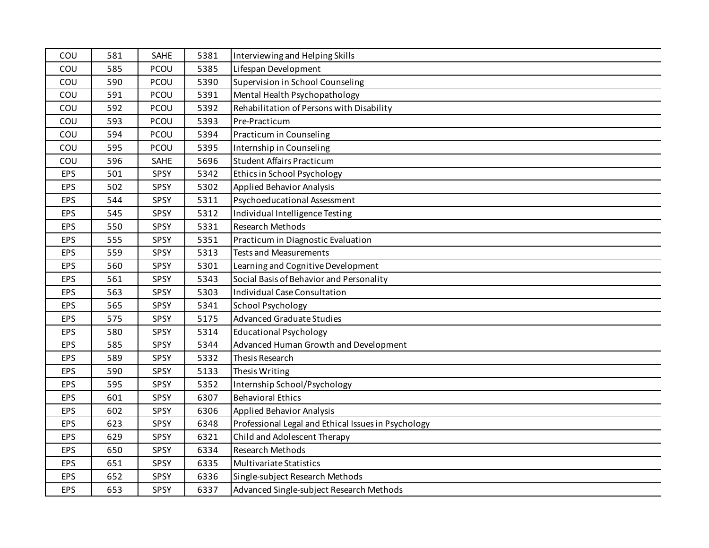| COU        | 581 | SAHE | 5381 | Interviewing and Helping Skills                     |
|------------|-----|------|------|-----------------------------------------------------|
| COU        | 585 | PCOU | 5385 | Lifespan Development                                |
| COU        | 590 | PCOU | 5390 | Supervision in School Counseling                    |
| COU        | 591 | PCOU | 5391 | Mental Health Psychopathology                       |
| COU        | 592 | PCOU | 5392 | Rehabilitation of Persons with Disability           |
| COU        | 593 | PCOU | 5393 | Pre-Practicum                                       |
| COU        | 594 | PCOU | 5394 | Practicum in Counseling                             |
| COU        | 595 | PCOU | 5395 | Internship in Counseling                            |
| COU        | 596 | SAHE | 5696 | <b>Student Affairs Practicum</b>                    |
| <b>EPS</b> | 501 | SPSY | 5342 | Ethics in School Psychology                         |
| EPS        | 502 | SPSY | 5302 | <b>Applied Behavior Analysis</b>                    |
| <b>EPS</b> | 544 | SPSY | 5311 | Psychoeducational Assessment                        |
| <b>EPS</b> | 545 | SPSY | 5312 | Individual Intelligence Testing                     |
| EPS        | 550 | SPSY | 5331 | <b>Research Methods</b>                             |
| <b>EPS</b> | 555 | SPSY | 5351 | Practicum in Diagnostic Evaluation                  |
| <b>EPS</b> | 559 | SPSY | 5313 | <b>Tests and Measurements</b>                       |
| <b>EPS</b> | 560 | SPSY | 5301 | Learning and Cognitive Development                  |
| EPS        | 561 | SPSY | 5343 | Social Basis of Behavior and Personality            |
| <b>EPS</b> | 563 | SPSY | 5303 | Individual Case Consultation                        |
| <b>EPS</b> | 565 | SPSY | 5341 | <b>School Psychology</b>                            |
| <b>EPS</b> | 575 | SPSY | 5175 | <b>Advanced Graduate Studies</b>                    |
| <b>EPS</b> | 580 | SPSY | 5314 | <b>Educational Psychology</b>                       |
| EPS        | 585 | SPSY | 5344 | Advanced Human Growth and Development               |
| <b>EPS</b> | 589 | SPSY | 5332 | Thesis Research                                     |
| <b>EPS</b> | 590 | SPSY | 5133 | Thesis Writing                                      |
| <b>EPS</b> | 595 | SPSY | 5352 | Internship School/Psychology                        |
| <b>EPS</b> | 601 | SPSY | 6307 | <b>Behavioral Ethics</b>                            |
| EPS        | 602 | SPSY | 6306 | Applied Behavior Analysis                           |
| <b>EPS</b> | 623 | SPSY | 6348 | Professional Legal and Ethical Issues in Psychology |
| <b>EPS</b> | 629 | SPSY | 6321 | Child and Adolescent Therapy                        |
| <b>EPS</b> | 650 | SPSY | 6334 | Research Methods                                    |
| <b>EPS</b> | 651 | SPSY | 6335 | Multivariate Statistics                             |
| <b>EPS</b> | 652 | SPSY | 6336 | Single-subject Research Methods                     |
| EPS        | 653 | SPSY | 6337 | Advanced Single-subject Research Methods            |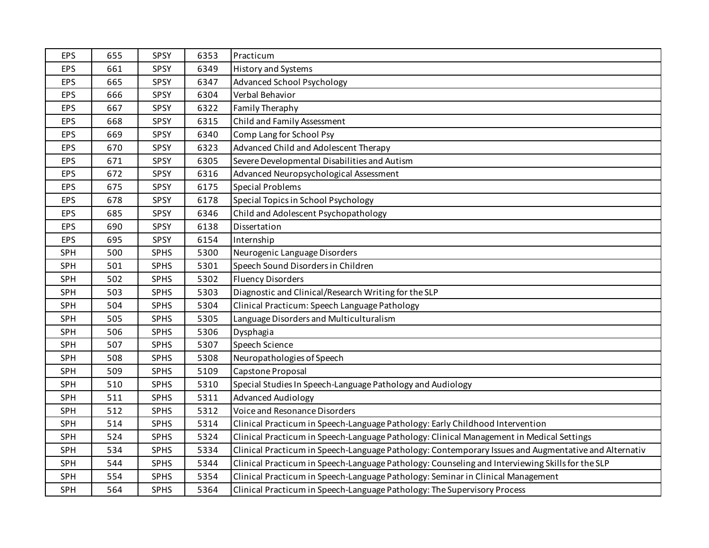| <b>EPS</b> | 655 | SPSY        | 6353 | Practicum                                                                                            |
|------------|-----|-------------|------|------------------------------------------------------------------------------------------------------|
| EPS        | 661 | SPSY        | 6349 | <b>History and Systems</b>                                                                           |
| EPS        | 665 | SPSY        | 6347 | <b>Advanced School Psychology</b>                                                                    |
| EPS        | 666 | SPSY        | 6304 | Verbal Behavior                                                                                      |
| EPS        | 667 | SPSY        | 6322 | Family Theraphy                                                                                      |
| <b>EPS</b> | 668 | <b>SPSY</b> | 6315 | Child and Family Assessment                                                                          |
| EPS        | 669 | SPSY        | 6340 | Comp Lang for School Psy                                                                             |
| EPS        | 670 | SPSY        | 6323 | Advanced Child and Adolescent Therapy                                                                |
| EPS        | 671 | SPSY        | 6305 | Severe Developmental Disabilities and Autism                                                         |
| <b>EPS</b> | 672 | SPSY        | 6316 | Advanced Neuropsychological Assessment                                                               |
| <b>EPS</b> | 675 | SPSY        | 6175 | <b>Special Problems</b>                                                                              |
| <b>EPS</b> | 678 | SPSY        | 6178 | Special Topics in School Psychology                                                                  |
| EPS        | 685 | SPSY        | 6346 | Child and Adolescent Psychopathology                                                                 |
| <b>EPS</b> | 690 | SPSY        | 6138 | Dissertation                                                                                         |
| EPS        | 695 | SPSY        | 6154 | Internship                                                                                           |
| SPH        | 500 | <b>SPHS</b> | 5300 | Neurogenic Language Disorders                                                                        |
| SPH        | 501 | <b>SPHS</b> | 5301 | Speech Sound Disorders in Children                                                                   |
| SPH        | 502 | <b>SPHS</b> | 5302 | <b>Fluency Disorders</b>                                                                             |
| SPH        | 503 | <b>SPHS</b> | 5303 | Diagnostic and Clinical/Research Writing for the SLP                                                 |
| SPH        | 504 | <b>SPHS</b> | 5304 | Clinical Practicum: Speech Language Pathology                                                        |
| SPH        | 505 | <b>SPHS</b> | 5305 | Language Disorders and Multiculturalism                                                              |
| SPH        | 506 | <b>SPHS</b> | 5306 | Dysphagia                                                                                            |
| SPH        | 507 | <b>SPHS</b> | 5307 | Speech Science                                                                                       |
| <b>SPH</b> | 508 | <b>SPHS</b> | 5308 | Neuropathologies of Speech                                                                           |
| SPH        | 509 | <b>SPHS</b> | 5109 | Capstone Proposal                                                                                    |
| SPH        | 510 | <b>SPHS</b> | 5310 | Special Studies In Speech-Language Pathology and Audiology                                           |
| SPH        | 511 | <b>SPHS</b> | 5311 | <b>Advanced Audiology</b>                                                                            |
| SPH        | 512 | <b>SPHS</b> | 5312 | Voice and Resonance Disorders                                                                        |
| <b>SPH</b> | 514 | <b>SPHS</b> | 5314 | Clinical Practicum in Speech-Language Pathology: Early Childhood Intervention                        |
| SPH        | 524 | <b>SPHS</b> | 5324 | Clinical Practicum in Speech-Language Pathology: Clinical Management in Medical Settings             |
| SPH        | 534 | <b>SPHS</b> | 5334 | Clinical Practicum in Speech-Language Pathology: Contemporary Issues and Augmentative and Alternativ |
| SPH        | 544 | <b>SPHS</b> | 5344 | Clinical Practicum in Speech-Language Pathology: Counseling and Interviewing Skills for the SLP      |
| SPH        | 554 | <b>SPHS</b> | 5354 | Clinical Practicum in Speech-Language Pathology: Seminar in Clinical Management                      |
| SPH        | 564 | <b>SPHS</b> | 5364 | Clinical Practicum in Speech-Language Pathology: The Supervisory Process                             |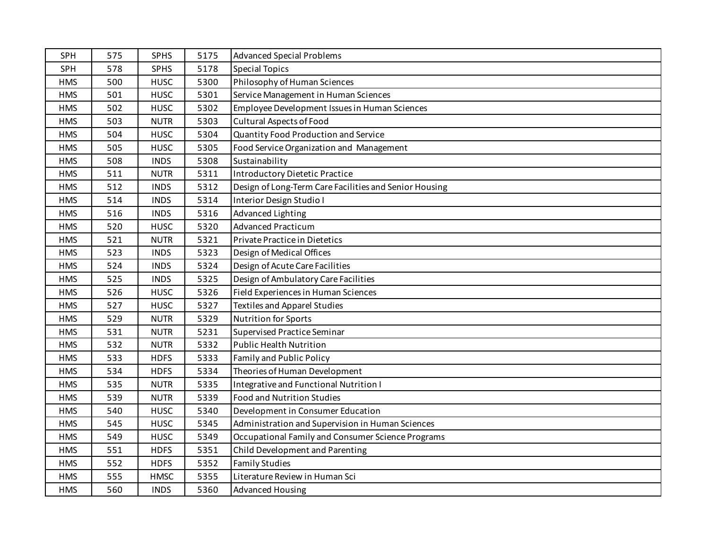| SPH        | 575 | <b>SPHS</b> | 5175 | <b>Advanced Special Problems</b>                       |
|------------|-----|-------------|------|--------------------------------------------------------|
| SPH        | 578 | <b>SPHS</b> | 5178 | <b>Special Topics</b>                                  |
| <b>HMS</b> | 500 | <b>HUSC</b> | 5300 | Philosophy of Human Sciences                           |
| <b>HMS</b> | 501 | <b>HUSC</b> | 5301 | Service Management in Human Sciences                   |
| <b>HMS</b> | 502 | <b>HUSC</b> | 5302 | Employee Development Issues in Human Sciences          |
| <b>HMS</b> | 503 | <b>NUTR</b> | 5303 | Cultural Aspects of Food                               |
| <b>HMS</b> | 504 | <b>HUSC</b> | 5304 | Quantity Food Production and Service                   |
| <b>HMS</b> | 505 | <b>HUSC</b> | 5305 | Food Service Organization and Management               |
| <b>HMS</b> | 508 | <b>INDS</b> | 5308 | Sustainability                                         |
| <b>HMS</b> | 511 | <b>NUTR</b> | 5311 | <b>Introductory Dietetic Practice</b>                  |
| <b>HMS</b> | 512 | <b>INDS</b> | 5312 | Design of Long-Term Care Facilities and Senior Housing |
| <b>HMS</b> | 514 | <b>INDS</b> | 5314 | Interior Design Studio I                               |
| <b>HMS</b> | 516 | <b>INDS</b> | 5316 | <b>Advanced Lighting</b>                               |
| <b>HMS</b> | 520 | <b>HUSC</b> | 5320 | <b>Advanced Practicum</b>                              |
| <b>HMS</b> | 521 | <b>NUTR</b> | 5321 | Private Practice in Dietetics                          |
| <b>HMS</b> | 523 | <b>INDS</b> | 5323 | Design of Medical Offices                              |
| <b>HMS</b> | 524 | <b>INDS</b> | 5324 | Design of Acute Care Facilities                        |
| <b>HMS</b> | 525 | <b>INDS</b> | 5325 | Design of Ambulatory Care Facilities                   |
| <b>HMS</b> | 526 | <b>HUSC</b> | 5326 | Field Experiences in Human Sciences                    |
| <b>HMS</b> | 527 | <b>HUSC</b> | 5327 | <b>Textiles and Apparel Studies</b>                    |
| <b>HMS</b> | 529 | <b>NUTR</b> | 5329 | <b>Nutrition for Sports</b>                            |
| <b>HMS</b> | 531 | <b>NUTR</b> | 5231 | Supervised Practice Seminar                            |
| <b>HMS</b> | 532 | <b>NUTR</b> | 5332 | <b>Public Health Nutrition</b>                         |
| <b>HMS</b> | 533 | <b>HDFS</b> | 5333 | Family and Public Policy                               |
| <b>HMS</b> | 534 | <b>HDFS</b> | 5334 | Theories of Human Development                          |
| <b>HMS</b> | 535 | <b>NUTR</b> | 5335 | Integrative and Functional Nutrition I                 |
| <b>HMS</b> | 539 | <b>NUTR</b> | 5339 | <b>Food and Nutrition Studies</b>                      |
| <b>HMS</b> | 540 | <b>HUSC</b> | 5340 | Development in Consumer Education                      |
| <b>HMS</b> | 545 | <b>HUSC</b> | 5345 | Administration and Supervision in Human Sciences       |
| <b>HMS</b> | 549 | <b>HUSC</b> | 5349 | Occupational Family and Consumer Science Programs      |
| <b>HMS</b> | 551 | <b>HDFS</b> | 5351 | Child Development and Parenting                        |
| <b>HMS</b> | 552 | <b>HDFS</b> | 5352 | <b>Family Studies</b>                                  |
| <b>HMS</b> | 555 | <b>HMSC</b> | 5355 | Literature Review in Human Sci                         |
| <b>HMS</b> | 560 | <b>INDS</b> | 5360 | <b>Advanced Housing</b>                                |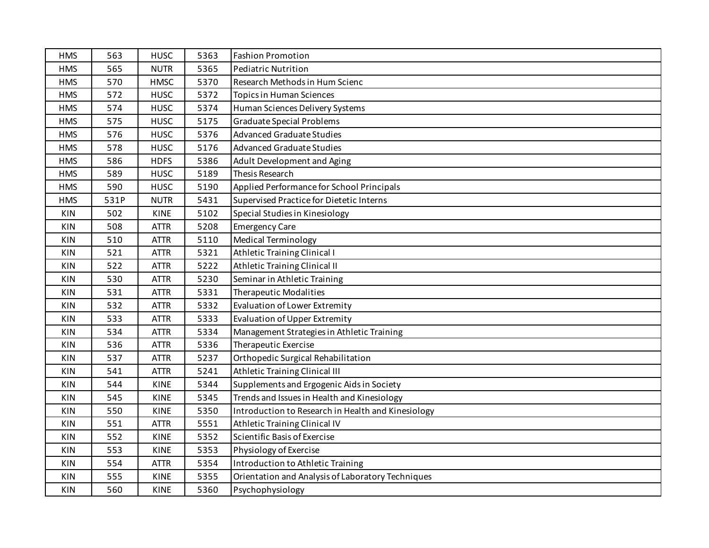| <b>HMS</b> | 563  | <b>HUSC</b> | 5363 | <b>Fashion Promotion</b>                           |
|------------|------|-------------|------|----------------------------------------------------|
| <b>HMS</b> | 565  | <b>NUTR</b> | 5365 | <b>Pediatric Nutrition</b>                         |
| <b>HMS</b> | 570  | <b>HMSC</b> | 5370 | Research Methods in Hum Scienc                     |
| <b>HMS</b> | 572  | <b>HUSC</b> | 5372 | <b>Topics in Human Sciences</b>                    |
| <b>HMS</b> | 574  | <b>HUSC</b> | 5374 | Human Sciences Delivery Systems                    |
| <b>HMS</b> | 575  | <b>HUSC</b> | 5175 | <b>Graduate Special Problems</b>                   |
| <b>HMS</b> | 576  | <b>HUSC</b> | 5376 | <b>Advanced Graduate Studies</b>                   |
| <b>HMS</b> | 578  | <b>HUSC</b> | 5176 | <b>Advanced Graduate Studies</b>                   |
| <b>HMS</b> | 586  | <b>HDFS</b> | 5386 | Adult Development and Aging                        |
| <b>HMS</b> | 589  | <b>HUSC</b> | 5189 | Thesis Research                                    |
| <b>HMS</b> | 590  | <b>HUSC</b> | 5190 | Applied Performance for School Principals          |
| <b>HMS</b> | 531P | <b>NUTR</b> | 5431 | Supervised Practice for Dietetic Interns           |
| <b>KIN</b> | 502  | <b>KINE</b> | 5102 | Special Studies in Kinesiology                     |
| <b>KIN</b> | 508  | <b>ATTR</b> | 5208 | <b>Emergency Care</b>                              |
| KIN        | 510  | <b>ATTR</b> | 5110 | <b>Medical Terminology</b>                         |
| <b>KIN</b> | 521  | <b>ATTR</b> | 5321 | <b>Athletic Training Clinical I</b>                |
| <b>KIN</b> | 522  | <b>ATTR</b> | 5222 | Athletic Training Clinical II                      |
| <b>KIN</b> | 530  | <b>ATTR</b> | 5230 | Seminar in Athletic Training                       |
| KIN        | 531  | ATTR        | 5331 | <b>Therapeutic Modalities</b>                      |
| <b>KIN</b> | 532  | <b>ATTR</b> | 5332 | Evaluation of Lower Extremity                      |
| <b>KIN</b> | 533  | <b>ATTR</b> | 5333 | Evaluation of Upper Extremity                      |
| <b>KIN</b> | 534  | <b>ATTR</b> | 5334 | Management Strategies in Athletic Training         |
| <b>KIN</b> | 536  | <b>ATTR</b> | 5336 | Therapeutic Exercise                               |
| <b>KIN</b> | 537  | ATTR        | 5237 | Orthopedic Surgical Rehabilitation                 |
| <b>KIN</b> | 541  | <b>ATTR</b> | 5241 | Athletic Training Clinical III                     |
| <b>KIN</b> | 544  | <b>KINE</b> | 5344 | Supplements and Ergogenic Aids in Society          |
| <b>KIN</b> | 545  | <b>KINE</b> | 5345 | Trends and Issues in Health and Kinesiology        |
| <b>KIN</b> | 550  | <b>KINE</b> | 5350 | Introduction to Research in Health and Kinesiology |
| <b>KIN</b> | 551  | <b>ATTR</b> | 5551 | Athletic Training Clinical IV                      |
| <b>KIN</b> | 552  | <b>KINE</b> | 5352 | Scientific Basis of Exercise                       |
| <b>KIN</b> | 553  | <b>KINE</b> | 5353 | Physiology of Exercise                             |
| <b>KIN</b> | 554  | <b>ATTR</b> | 5354 | Introduction to Athletic Training                  |
| <b>KIN</b> | 555  | <b>KINE</b> | 5355 | Orientation and Analysis of Laboratory Techniques  |
| <b>KIN</b> | 560  | <b>KINE</b> | 5360 | Psychophysiology                                   |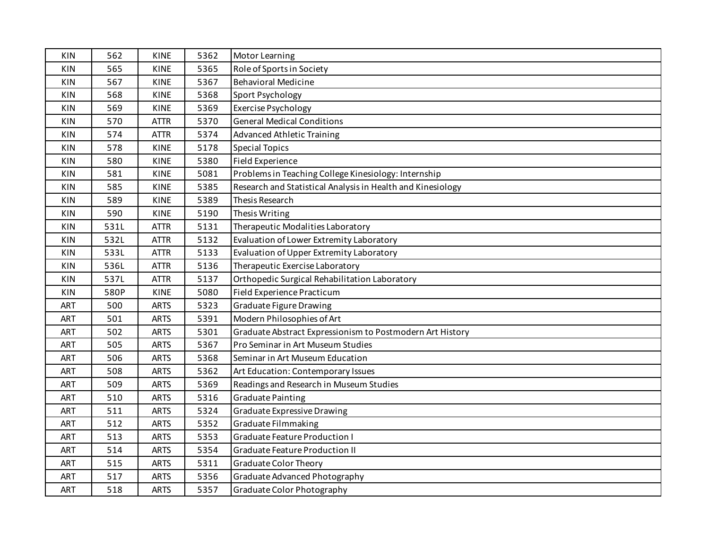| KIN        | 562  | <b>KINE</b> | 5362 | Motor Learning                                              |
|------------|------|-------------|------|-------------------------------------------------------------|
| KIN        | 565  | <b>KINE</b> | 5365 | Role of Sports in Society                                   |
| <b>KIN</b> | 567  | <b>KINE</b> | 5367 | <b>Behavioral Medicine</b>                                  |
| <b>KIN</b> | 568  | KINE        | 5368 | Sport Psychology                                            |
| <b>KIN</b> | 569  | KINE        | 5369 | <b>Exercise Psychology</b>                                  |
| <b>KIN</b> | 570  | <b>ATTR</b> | 5370 | <b>General Medical Conditions</b>                           |
| <b>KIN</b> | 574  | <b>ATTR</b> | 5374 | Advanced Athletic Training                                  |
| <b>KIN</b> | 578  | KINE        | 5178 | <b>Special Topics</b>                                       |
| KIN        | 580  | <b>KINE</b> | 5380 | Field Experience                                            |
| <b>KIN</b> | 581  | <b>KINE</b> | 5081 | Problems in Teaching College Kinesiology: Internship        |
| KIN        | 585  | <b>KINE</b> | 5385 | Research and Statistical Analysis in Health and Kinesiology |
| <b>KIN</b> | 589  | <b>KINE</b> | 5389 | Thesis Research                                             |
| KIN        | 590  | <b>KINE</b> | 5190 | Thesis Writing                                              |
| <b>KIN</b> | 531L | <b>ATTR</b> | 5131 | Therapeutic Modalities Laboratory                           |
| <b>KIN</b> | 532L | <b>ATTR</b> | 5132 | Evaluation of Lower Extremity Laboratory                    |
| <b>KIN</b> | 533L | <b>ATTR</b> | 5133 | Evaluation of Upper Extremity Laboratory                    |
| <b>KIN</b> | 536L | <b>ATTR</b> | 5136 | Therapeutic Exercise Laboratory                             |
| KIN        | 537L | <b>ATTR</b> | 5137 | Orthopedic Surgical Rehabilitation Laboratory               |
| KIN        | 580P | <b>KINE</b> | 5080 | Field Experience Practicum                                  |
| ART        | 500  | <b>ARTS</b> | 5323 | <b>Graduate Figure Drawing</b>                              |
| <b>ART</b> | 501  | <b>ARTS</b> | 5391 | Modern Philosophies of Art                                  |
| ART        | 502  | <b>ARTS</b> | 5301 | Graduate Abstract Expressionism to Postmodern Art History   |
| ART        | 505  | <b>ARTS</b> | 5367 | Pro Seminar in Art Museum Studies                           |
| ART        | 506  | <b>ARTS</b> | 5368 | Seminar in Art Museum Education                             |
| ART        | 508  | <b>ARTS</b> | 5362 | Art Education: Contemporary Issues                          |
| ART        | 509  | <b>ARTS</b> | 5369 | Readings and Research in Museum Studies                     |
| ART        | 510  | <b>ARTS</b> | 5316 | <b>Graduate Painting</b>                                    |
| ART        | 511  | <b>ARTS</b> | 5324 | Graduate Expressive Drawing                                 |
| ART        | 512  | <b>ARTS</b> | 5352 | Graduate Filmmaking                                         |
| ART        | 513  | <b>ARTS</b> | 5353 | <b>Graduate Feature Production I</b>                        |
| ART        | 514  | <b>ARTS</b> | 5354 | <b>Graduate Feature Production II</b>                       |
| ART        | 515  | <b>ARTS</b> | 5311 | <b>Graduate Color Theory</b>                                |
| ART        | 517  | <b>ARTS</b> | 5356 | Graduate Advanced Photography                               |
| <b>ART</b> | 518  | <b>ARTS</b> | 5357 | Graduate Color Photography                                  |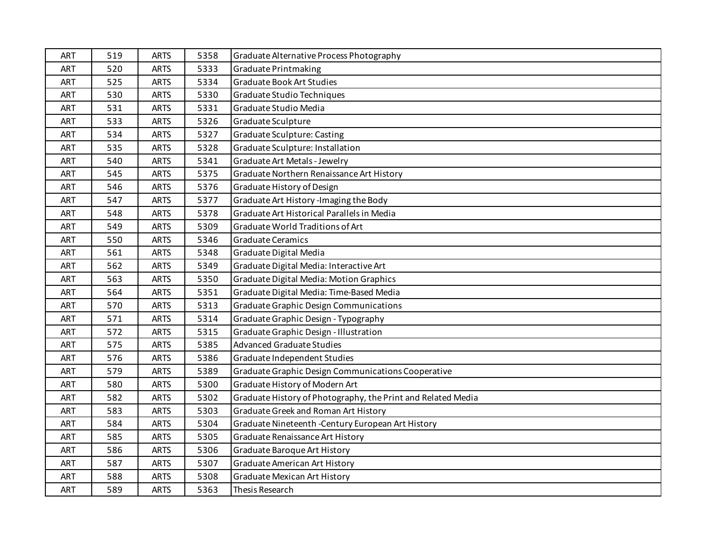| ART        | 519 | <b>ARTS</b> | 5358 | Graduate Alternative Process Photography                     |
|------------|-----|-------------|------|--------------------------------------------------------------|
| <b>ART</b> | 520 | <b>ARTS</b> | 5333 | Graduate Printmaking                                         |
| ART        | 525 | <b>ARTS</b> | 5334 | <b>Graduate Book Art Studies</b>                             |
| ART        | 530 | <b>ARTS</b> | 5330 | Graduate Studio Techniques                                   |
| <b>ART</b> | 531 | <b>ARTS</b> | 5331 | Graduate Studio Media                                        |
| ART        | 533 | <b>ARTS</b> | 5326 | Graduate Sculpture                                           |
| ART        | 534 | <b>ARTS</b> | 5327 | <b>Graduate Sculpture: Casting</b>                           |
| ART        | 535 | <b>ARTS</b> | 5328 | Graduate Sculpture: Installation                             |
| <b>ART</b> | 540 | <b>ARTS</b> | 5341 | Graduate Art Metals - Jewelry                                |
| <b>ART</b> | 545 | <b>ARTS</b> | 5375 | Graduate Northern Renaissance Art History                    |
| <b>ART</b> | 546 | <b>ARTS</b> | 5376 | Graduate History of Design                                   |
| ART        | 547 | <b>ARTS</b> | 5377 | Graduate Art History-Imaging the Body                        |
| ART        | 548 | <b>ARTS</b> | 5378 | Graduate Art Historical Parallels in Media                   |
| <b>ART</b> | 549 | <b>ARTS</b> | 5309 | Graduate World Traditions of Art                             |
| <b>ART</b> | 550 | <b>ARTS</b> | 5346 | <b>Graduate Ceramics</b>                                     |
| <b>ART</b> | 561 | <b>ARTS</b> | 5348 | Graduate Digital Media                                       |
| ART        | 562 | <b>ARTS</b> | 5349 | Graduate Digital Media: Interactive Art                      |
| ART        | 563 | <b>ARTS</b> | 5350 | <b>Graduate Digital Media: Motion Graphics</b>               |
| <b>ART</b> | 564 | <b>ARTS</b> | 5351 | Graduate Digital Media: Time-Based Media                     |
| <b>ART</b> | 570 | <b>ARTS</b> | 5313 | <b>Graduate Graphic Design Communications</b>                |
| ART        | 571 | <b>ARTS</b> | 5314 | Graduate Graphic Design - Typography                         |
| <b>ART</b> | 572 | <b>ARTS</b> | 5315 | Graduate Graphic Design - Illustration                       |
| ART        | 575 | <b>ARTS</b> | 5385 | <b>Advanced Graduate Studies</b>                             |
| <b>ART</b> | 576 | <b>ARTS</b> | 5386 | Graduate Independent Studies                                 |
| ART        | 579 | <b>ARTS</b> | 5389 | Graduate Graphic Design Communications Cooperative           |
| ART        | 580 | <b>ARTS</b> | 5300 | Graduate History of Modern Art                               |
| ART        | 582 | <b>ARTS</b> | 5302 | Graduate History of Photography, the Print and Related Media |
| ART        | 583 | <b>ARTS</b> | 5303 | Graduate Greek and Roman Art History                         |
| ART        | 584 | <b>ARTS</b> | 5304 | Graduate Nineteenth - Century European Art History           |
| ART        | 585 | <b>ARTS</b> | 5305 | Graduate Renaissance Art History                             |
| ART        | 586 | <b>ARTS</b> | 5306 | Graduate Baroque Art History                                 |
| <b>ART</b> | 587 | <b>ARTS</b> | 5307 | <b>Graduate American Art History</b>                         |
| ART        | 588 | <b>ARTS</b> | 5308 | <b>Graduate Mexican Art History</b>                          |
| ART        | 589 | <b>ARTS</b> | 5363 | Thesis Research                                              |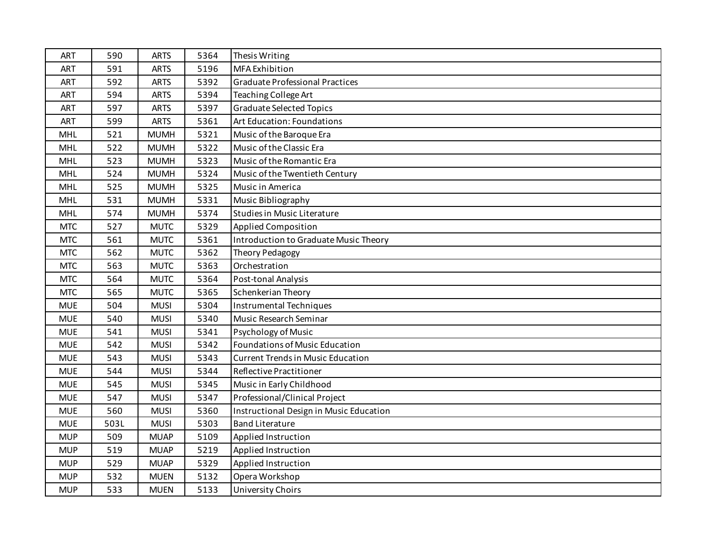| ART        | 590  | <b>ARTS</b> | 5364 | Thesis Writing                           |
|------------|------|-------------|------|------------------------------------------|
| <b>ART</b> | 591  | <b>ARTS</b> | 5196 | MFA Exhibition                           |
| ART        | 592  | <b>ARTS</b> | 5392 | <b>Graduate Professional Practices</b>   |
| ART        | 594  | <b>ARTS</b> | 5394 | Teaching College Art                     |
| <b>ART</b> | 597  | <b>ARTS</b> | 5397 | <b>Graduate Selected Topics</b>          |
| ART        | 599  | <b>ARTS</b> | 5361 | Art Education: Foundations               |
| <b>MHL</b> | 521  | <b>MUMH</b> | 5321 | Music of the Baroque Era                 |
| <b>MHL</b> | 522  | <b>MUMH</b> | 5322 | Music of the Classic Era                 |
| MHL        | 523  | <b>MUMH</b> | 5323 | Music of the Romantic Era                |
| <b>MHL</b> | 524  | <b>MUMH</b> | 5324 | Music of the Twentieth Century           |
| <b>MHL</b> | 525  | <b>MUMH</b> | 5325 | Music in America                         |
| <b>MHL</b> | 531  | <b>MUMH</b> | 5331 | Music Bibliography                       |
| <b>MHL</b> | 574  | <b>MUMH</b> | 5374 | <b>Studies in Music Literature</b>       |
| <b>MTC</b> | 527  | <b>MUTC</b> | 5329 | <b>Applied Composition</b>               |
| <b>MTC</b> | 561  | <b>MUTC</b> | 5361 | Introduction to Graduate Music Theory    |
| <b>MTC</b> | 562  | <b>MUTC</b> | 5362 | Theory Pedagogy                          |
| <b>MTC</b> | 563  | <b>MUTC</b> | 5363 | Orchestration                            |
| <b>MTC</b> | 564  | <b>MUTC</b> | 5364 | Post-tonal Analysis                      |
| <b>MTC</b> | 565  | <b>MUTC</b> | 5365 | Schenkerian Theory                       |
| <b>MUE</b> | 504  | <b>MUSI</b> | 5304 | Instrumental Techniques                  |
| <b>MUE</b> | 540  | <b>MUSI</b> | 5340 | Music Research Seminar                   |
| <b>MUE</b> | 541  | <b>MUSI</b> | 5341 | Psychology of Music                      |
| <b>MUE</b> | 542  | <b>MUSI</b> | 5342 | <b>Foundations of Music Education</b>    |
| <b>MUE</b> | 543  | <b>MUSI</b> | 5343 | <b>Current Trends in Music Education</b> |
| <b>MUE</b> | 544  | <b>MUSI</b> | 5344 | Reflective Practitioner                  |
| <b>MUE</b> | 545  | <b>MUSI</b> | 5345 | Music in Early Childhood                 |
| <b>MUE</b> | 547  | <b>MUSI</b> | 5347 | Professional/Clinical Project            |
| <b>MUE</b> | 560  | <b>MUSI</b> | 5360 | Instructional Design in Music Education  |
| <b>MUE</b> | 503L | <b>MUSI</b> | 5303 | <b>Band Literature</b>                   |
| <b>MUP</b> | 509  | <b>MUAP</b> | 5109 | Applied Instruction                      |
| <b>MUP</b> | 519  | <b>MUAP</b> | 5219 | Applied Instruction                      |
| <b>MUP</b> | 529  | <b>MUAP</b> | 5329 | Applied Instruction                      |
| <b>MUP</b> | 532  | <b>MUEN</b> | 5132 | Opera Workshop                           |
| <b>MUP</b> | 533  | <b>MUEN</b> | 5133 | <b>University Choirs</b>                 |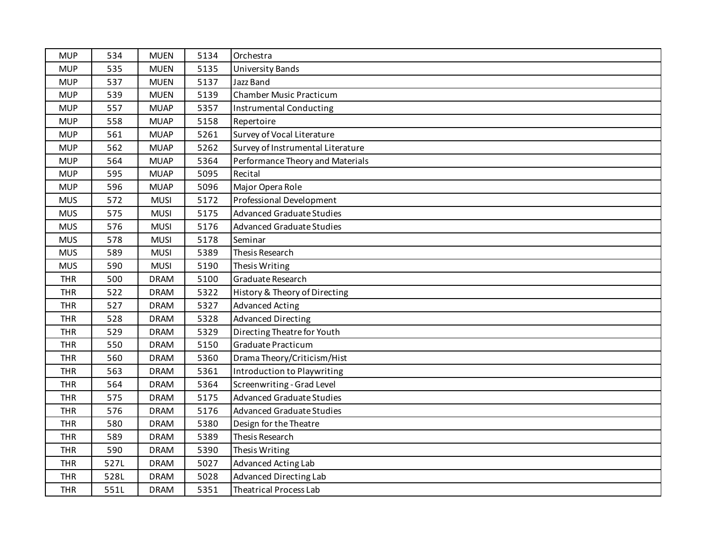| <b>MUP</b> | 534  | <b>MUEN</b> | 5134 | Orchestra                         |
|------------|------|-------------|------|-----------------------------------|
| <b>MUP</b> | 535  | <b>MUEN</b> | 5135 | <b>University Bands</b>           |
| <b>MUP</b> | 537  | <b>MUEN</b> | 5137 | Jazz Band                         |
| <b>MUP</b> | 539  | <b>MUEN</b> | 5139 | <b>Chamber Music Practicum</b>    |
| <b>MUP</b> | 557  | <b>MUAP</b> | 5357 | <b>Instrumental Conducting</b>    |
| <b>MUP</b> | 558  | <b>MUAP</b> | 5158 | Repertoire                        |
| <b>MUP</b> | 561  | <b>MUAP</b> | 5261 | Survey of Vocal Literature        |
| <b>MUP</b> | 562  | <b>MUAP</b> | 5262 | Survey of Instrumental Literature |
| <b>MUP</b> | 564  | <b>MUAP</b> | 5364 | Performance Theory and Materials  |
| <b>MUP</b> | 595  | <b>MUAP</b> | 5095 | Recital                           |
| <b>MUP</b> | 596  | <b>MUAP</b> | 5096 | Major Opera Role                  |
| <b>MUS</b> | 572  | <b>MUSI</b> | 5172 | Professional Development          |
| <b>MUS</b> | 575  | <b>MUSI</b> | 5175 | <b>Advanced Graduate Studies</b>  |
| <b>MUS</b> | 576  | <b>MUSI</b> | 5176 | <b>Advanced Graduate Studies</b>  |
| <b>MUS</b> | 578  | <b>MUSI</b> | 5178 | Seminar                           |
| <b>MUS</b> | 589  | <b>MUSI</b> | 5389 | Thesis Research                   |
| <b>MUS</b> | 590  | <b>MUSI</b> | 5190 | Thesis Writing                    |
| <b>THR</b> | 500  | <b>DRAM</b> | 5100 | Graduate Research                 |
| <b>THR</b> | 522  | <b>DRAM</b> | 5322 | History & Theory of Directing     |
| <b>THR</b> | 527  | <b>DRAM</b> | 5327 | <b>Advanced Acting</b>            |
| <b>THR</b> | 528  | <b>DRAM</b> | 5328 | <b>Advanced Directing</b>         |
| <b>THR</b> | 529  | <b>DRAM</b> | 5329 | Directing Theatre for Youth       |
| <b>THR</b> | 550  | <b>DRAM</b> | 5150 | Graduate Practicum                |
| <b>THR</b> | 560  | <b>DRAM</b> | 5360 | Drama Theory/Criticism/Hist       |
| <b>THR</b> | 563  | <b>DRAM</b> | 5361 | Introduction to Playwriting       |
| <b>THR</b> | 564  | <b>DRAM</b> | 5364 | Screenwriting - Grad Level        |
| <b>THR</b> | 575  | <b>DRAM</b> | 5175 | <b>Advanced Graduate Studies</b>  |
| <b>THR</b> | 576  | <b>DRAM</b> | 5176 | <b>Advanced Graduate Studies</b>  |
| <b>THR</b> | 580  | <b>DRAM</b> | 5380 | Design for the Theatre            |
| <b>THR</b> | 589  | <b>DRAM</b> | 5389 | Thesis Research                   |
| <b>THR</b> | 590  | <b>DRAM</b> | 5390 | Thesis Writing                    |
| <b>THR</b> | 527L | <b>DRAM</b> | 5027 | Advanced Acting Lab               |
| <b>THR</b> | 528L | <b>DRAM</b> | 5028 | Advanced Directing Lab            |
| <b>THR</b> | 551L | <b>DRAM</b> | 5351 | <b>Theatrical Process Lab</b>     |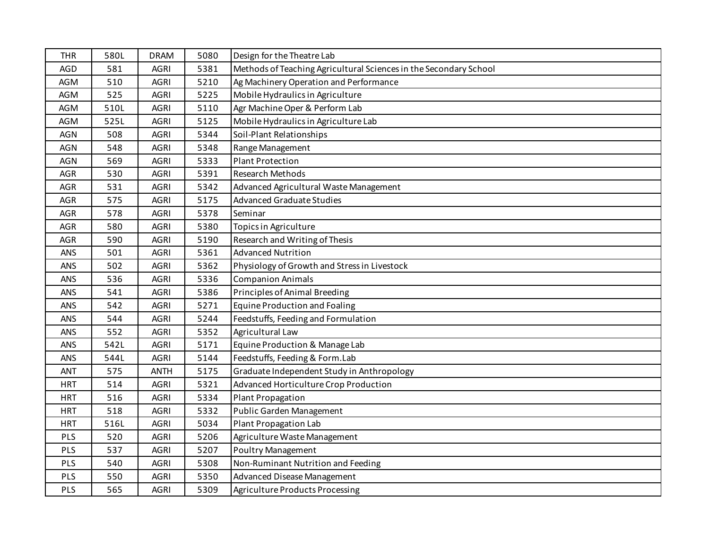| <b>THR</b> | 580L | <b>DRAM</b> | 5080 | Design for the Theatre Lab                                        |
|------------|------|-------------|------|-------------------------------------------------------------------|
| <b>AGD</b> | 581  | <b>AGRI</b> | 5381 | Methods of Teaching Agricultural Sciences in the Secondary School |
| <b>AGM</b> | 510  | <b>AGRI</b> | 5210 | Ag Machinery Operation and Performance                            |
| AGM        | 525  | <b>AGRI</b> | 5225 | Mobile Hydraulics in Agriculture                                  |
| <b>AGM</b> | 510L | <b>AGRI</b> | 5110 | Agr Machine Oper & Perform Lab                                    |
| AGM        | 525L | <b>AGRI</b> | 5125 | Mobile Hydraulics in Agriculture Lab                              |
| <b>AGN</b> | 508  | <b>AGRI</b> | 5344 | Soil-Plant Relationships                                          |
| <b>AGN</b> | 548  | <b>AGRI</b> | 5348 | Range Management                                                  |
| <b>AGN</b> | 569  | <b>AGRI</b> | 5333 | <b>Plant Protection</b>                                           |
| <b>AGR</b> | 530  | <b>AGRI</b> | 5391 | Research Methods                                                  |
| <b>AGR</b> | 531  | <b>AGRI</b> | 5342 | Advanced Agricultural Waste Management                            |
| <b>AGR</b> | 575  | <b>AGRI</b> | 5175 | <b>Advanced Graduate Studies</b>                                  |
| AGR        | 578  | <b>AGRI</b> | 5378 | Seminar                                                           |
| AGR        | 580  | <b>AGRI</b> | 5380 | Topics in Agriculture                                             |
| AGR        | 590  | <b>AGRI</b> | 5190 | Research and Writing of Thesis                                    |
| ANS        | 501  | <b>AGRI</b> | 5361 | <b>Advanced Nutrition</b>                                         |
| ANS        | 502  | <b>AGRI</b> | 5362 | Physiology of Growth and Stress in Livestock                      |
| ANS        | 536  | <b>AGRI</b> | 5336 | <b>Companion Animals</b>                                          |
| ANS        | 541  | <b>AGRI</b> | 5386 | Principles of Animal Breeding                                     |
| ANS        | 542  | <b>AGRI</b> | 5271 | <b>Equine Production and Foaling</b>                              |
| ANS        | 544  | <b>AGRI</b> | 5244 | Feedstuffs, Feeding and Formulation                               |
| ANS        | 552  | <b>AGRI</b> | 5352 | Agricultural Law                                                  |
| ANS        | 542L | <b>AGRI</b> | 5171 | Equine Production & Manage Lab                                    |
| ANS        | 544L | <b>AGRI</b> | 5144 | Feedstuffs, Feeding & Form.Lab                                    |
| <b>ANT</b> | 575  | <b>ANTH</b> | 5175 | Graduate Independent Study in Anthropology                        |
| <b>HRT</b> | 514  | <b>AGRI</b> | 5321 | Advanced Horticulture Crop Production                             |
| <b>HRT</b> | 516  | <b>AGRI</b> | 5334 | Plant Propagation                                                 |
| <b>HRT</b> | 518  | <b>AGRI</b> | 5332 | Public Garden Management                                          |
| <b>HRT</b> | 516L | <b>AGRI</b> | 5034 | Plant Propagation Lab                                             |
| PLS        | 520  | <b>AGRI</b> | 5206 | Agriculture Waste Management                                      |
| PLS        | 537  | <b>AGRI</b> | 5207 | <b>Poultry Management</b>                                         |
| PLS        | 540  | <b>AGRI</b> | 5308 | Non-Ruminant Nutrition and Feeding                                |
| PLS        | 550  | <b>AGRI</b> | 5350 | Advanced Disease Management                                       |
| PLS        | 565  | <b>AGRI</b> | 5309 | Agriculture Products Processing                                   |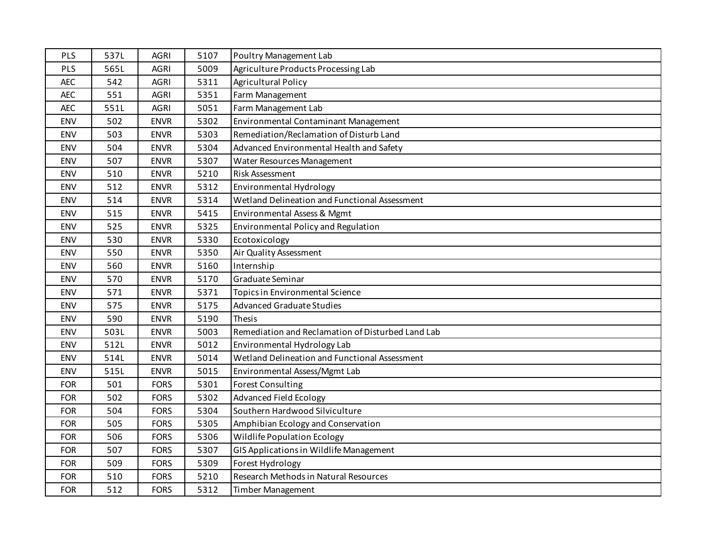| PLS        | 537L | <b>AGRI</b> | 5107 | Poultry Management Lab                            |
|------------|------|-------------|------|---------------------------------------------------|
| PLS        | 565L | <b>AGRI</b> | 5009 | Agriculture Products Processing Lab               |
| <b>AEC</b> | 542  | <b>AGRI</b> | 5311 | <b>Agricultural Policy</b>                        |
| <b>AEC</b> | 551  | <b>AGRI</b> | 5351 | Farm Management                                   |
| <b>AEC</b> | 551L | <b>AGRI</b> | 5051 | Farm Management Lab                               |
| ENV        | 502  | <b>ENVR</b> | 5302 | Environmental Contaminant Management              |
| ENV        | 503  | <b>ENVR</b> | 5303 | Remediation/Reclamation of Disturb Land           |
| ENV        | 504  | <b>ENVR</b> | 5304 | Advanced Environmental Health and Safety          |
| <b>ENV</b> | 507  | <b>ENVR</b> | 5307 | Water Resources Management                        |
| <b>ENV</b> | 510  | <b>ENVR</b> | 5210 | Risk Assessment                                   |
| ENV        | 512  | <b>ENVR</b> | 5312 | Environmental Hydrology                           |
| ENV        | 514  | <b>ENVR</b> | 5314 | Wetland Delineation and Functional Assessment     |
| ENV        | 515  | <b>ENVR</b> | 5415 | Environmental Assess & Mgmt                       |
| ENV        | 525  | <b>ENVR</b> | 5325 | Environmental Policy and Regulation               |
| <b>ENV</b> | 530  | <b>ENVR</b> | 5330 | Ecotoxicology                                     |
| <b>ENV</b> | 550  | <b>ENVR</b> | 5350 | Air Quality Assessment                            |
| ENV        | 560  | <b>ENVR</b> | 5160 | Internship                                        |
| ENV        | 570  | <b>ENVR</b> | 5170 | Graduate Seminar                                  |
| ENV        | 571  | <b>ENVR</b> | 5371 | Topics in Environmental Science                   |
| ENV        | 575  | <b>ENVR</b> | 5175 | <b>Advanced Graduate Studies</b>                  |
| ENV        | 590  | <b>ENVR</b> | 5190 | Thesis                                            |
| <b>ENV</b> | 503L | <b>ENVR</b> | 5003 | Remediation and Reclamation of Disturbed Land Lab |
| ENV        | 512L | <b>ENVR</b> | 5012 | Environmental Hydrology Lab                       |
| <b>ENV</b> | 514L | <b>ENVR</b> | 5014 | Wetland Delineation and Functional Assessment     |
| ENV        | 515L | <b>ENVR</b> | 5015 | Environmental Assess/Mgmt Lab                     |
| <b>FOR</b> | 501  | <b>FORS</b> | 5301 | <b>Forest Consulting</b>                          |
| <b>FOR</b> | 502  | <b>FORS</b> | 5302 | <b>Advanced Field Ecology</b>                     |
| <b>FOR</b> | 504  | <b>FORS</b> | 5304 | Southern Hardwood Silviculture                    |
| <b>FOR</b> | 505  | <b>FORS</b> | 5305 | Amphibian Ecology and Conservation                |
| <b>FOR</b> | 506  | <b>FORS</b> | 5306 | <b>Wildlife Population Ecology</b>                |
| <b>FOR</b> | 507  | <b>FORS</b> | 5307 | GIS Applications in Wildlife Management           |
| <b>FOR</b> | 509  | <b>FORS</b> | 5309 | Forest Hydrology                                  |
| <b>FOR</b> | 510  | <b>FORS</b> | 5210 | Research Methods in Natural Resources             |
| <b>FOR</b> | 512  | <b>FORS</b> | 5312 | Timber Management                                 |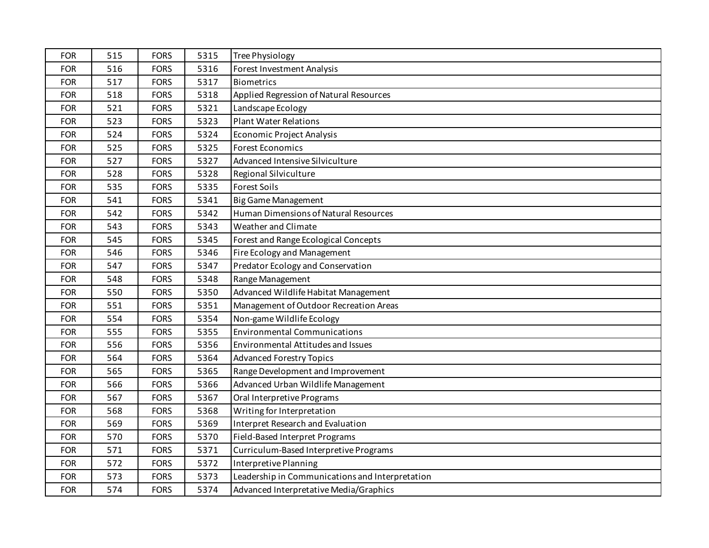| <b>FOR</b> | 515 | <b>FORS</b> | 5315 | <b>Tree Physiology</b>                          |
|------------|-----|-------------|------|-------------------------------------------------|
| <b>FOR</b> | 516 | <b>FORS</b> | 5316 | Forest Investment Analysis                      |
| <b>FOR</b> | 517 | <b>FORS</b> | 5317 | <b>Biometrics</b>                               |
| <b>FOR</b> | 518 | <b>FORS</b> | 5318 | Applied Regression of Natural Resources         |
| <b>FOR</b> | 521 | <b>FORS</b> | 5321 | Landscape Ecology                               |
| <b>FOR</b> | 523 | <b>FORS</b> | 5323 | <b>Plant Water Relations</b>                    |
| <b>FOR</b> | 524 | <b>FORS</b> | 5324 | Economic Project Analysis                       |
| <b>FOR</b> | 525 | <b>FORS</b> | 5325 | <b>Forest Economics</b>                         |
| <b>FOR</b> | 527 | <b>FORS</b> | 5327 | Advanced Intensive Silviculture                 |
| <b>FOR</b> | 528 | <b>FORS</b> | 5328 | Regional Silviculture                           |
| <b>FOR</b> | 535 | <b>FORS</b> | 5335 | <b>Forest Soils</b>                             |
| <b>FOR</b> | 541 | <b>FORS</b> | 5341 | <b>Big Game Management</b>                      |
| <b>FOR</b> | 542 | <b>FORS</b> | 5342 | Human Dimensions of Natural Resources           |
| <b>FOR</b> | 543 | <b>FORS</b> | 5343 | Weather and Climate                             |
| <b>FOR</b> | 545 | <b>FORS</b> | 5345 | Forest and Range Ecological Concepts            |
| <b>FOR</b> | 546 | <b>FORS</b> | 5346 | Fire Ecology and Management                     |
| <b>FOR</b> | 547 | <b>FORS</b> | 5347 | Predator Ecology and Conservation               |
| <b>FOR</b> | 548 | <b>FORS</b> | 5348 | Range Management                                |
| <b>FOR</b> | 550 | <b>FORS</b> | 5350 | Advanced Wildlife Habitat Management            |
| <b>FOR</b> | 551 | <b>FORS</b> | 5351 | Management of Outdoor Recreation Areas          |
| <b>FOR</b> | 554 | <b>FORS</b> | 5354 | Non-game Wildlife Ecology                       |
| <b>FOR</b> | 555 | <b>FORS</b> | 5355 | <b>Environmental Communications</b>             |
| <b>FOR</b> | 556 | <b>FORS</b> | 5356 | Environmental Attitudes and Issues              |
| <b>FOR</b> | 564 | <b>FORS</b> | 5364 | <b>Advanced Forestry Topics</b>                 |
| <b>FOR</b> | 565 | <b>FORS</b> | 5365 | Range Development and Improvement               |
| <b>FOR</b> | 566 | <b>FORS</b> | 5366 | Advanced Urban Wildlife Management              |
| <b>FOR</b> | 567 | <b>FORS</b> | 5367 | Oral Interpretive Programs                      |
| <b>FOR</b> | 568 | <b>FORS</b> | 5368 | Writing for Interpretation                      |
| <b>FOR</b> | 569 | <b>FORS</b> | 5369 | Interpret Research and Evaluation               |
| <b>FOR</b> | 570 | <b>FORS</b> | 5370 | Field-Based Interpret Programs                  |
| <b>FOR</b> | 571 | <b>FORS</b> | 5371 | Curriculum-Based Interpretive Programs          |
| <b>FOR</b> | 572 | <b>FORS</b> | 5372 | Interpretive Planning                           |
| <b>FOR</b> | 573 | <b>FORS</b> | 5373 | Leadership in Communications and Interpretation |
| <b>FOR</b> | 574 | <b>FORS</b> | 5374 | Advanced Interpretative Media/Graphics          |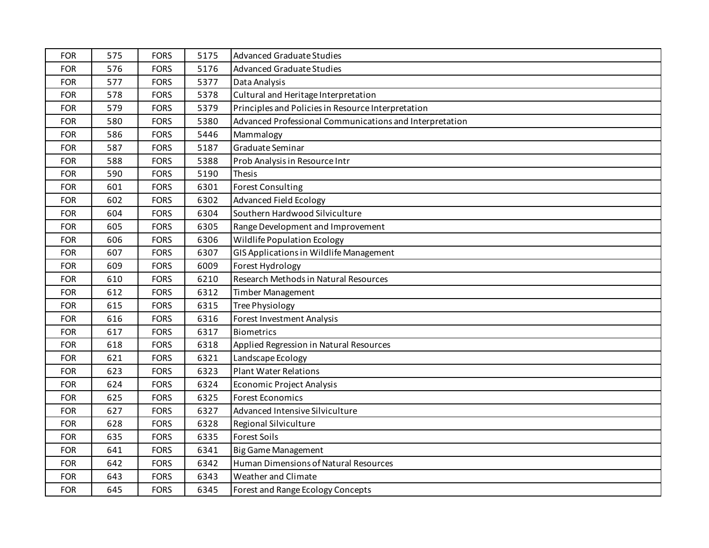| <b>FOR</b> | 575 | <b>FORS</b> | 5175 | <b>Advanced Graduate Studies</b>                        |
|------------|-----|-------------|------|---------------------------------------------------------|
| <b>FOR</b> | 576 | <b>FORS</b> | 5176 | <b>Advanced Graduate Studies</b>                        |
| <b>FOR</b> | 577 | <b>FORS</b> | 5377 | Data Analysis                                           |
| <b>FOR</b> | 578 | <b>FORS</b> | 5378 | Cultural and Heritage Interpretation                    |
| <b>FOR</b> | 579 | <b>FORS</b> | 5379 | Principles and Policies in Resource Interpretation      |
| <b>FOR</b> | 580 | <b>FORS</b> | 5380 | Advanced Professional Communications and Interpretation |
| <b>FOR</b> | 586 | <b>FORS</b> | 5446 | Mammalogy                                               |
| <b>FOR</b> | 587 | <b>FORS</b> | 5187 | Graduate Seminar                                        |
| <b>FOR</b> | 588 | <b>FORS</b> | 5388 | Prob Analysis in Resource Intr                          |
| <b>FOR</b> | 590 | <b>FORS</b> | 5190 | Thesis                                                  |
| <b>FOR</b> | 601 | <b>FORS</b> | 6301 | <b>Forest Consulting</b>                                |
| <b>FOR</b> | 602 | <b>FORS</b> | 6302 | <b>Advanced Field Ecology</b>                           |
| <b>FOR</b> | 604 | <b>FORS</b> | 6304 | Southern Hardwood Silviculture                          |
| <b>FOR</b> | 605 | <b>FORS</b> | 6305 | Range Development and Improvement                       |
| <b>FOR</b> | 606 | <b>FORS</b> | 6306 | Wildlife Population Ecology                             |
| <b>FOR</b> | 607 | <b>FORS</b> | 6307 | GIS Applications in Wildlife Management                 |
| <b>FOR</b> | 609 | <b>FORS</b> | 6009 | Forest Hydrology                                        |
| <b>FOR</b> | 610 | <b>FORS</b> | 6210 | Research Methods in Natural Resources                   |
| <b>FOR</b> | 612 | <b>FORS</b> | 6312 | <b>Timber Management</b>                                |
| <b>FOR</b> | 615 | <b>FORS</b> | 6315 | <b>Tree Physiology</b>                                  |
| <b>FOR</b> | 616 | <b>FORS</b> | 6316 | Forest Investment Analysis                              |
| <b>FOR</b> | 617 | <b>FORS</b> | 6317 | <b>Biometrics</b>                                       |
| <b>FOR</b> | 618 | <b>FORS</b> | 6318 | Applied Regression in Natural Resources                 |
| <b>FOR</b> | 621 | <b>FORS</b> | 6321 | Landscape Ecology                                       |
| <b>FOR</b> | 623 | <b>FORS</b> | 6323 | <b>Plant Water Relations</b>                            |
| <b>FOR</b> | 624 | <b>FORS</b> | 6324 | <b>Economic Project Analysis</b>                        |
| <b>FOR</b> | 625 | <b>FORS</b> | 6325 | <b>Forest Economics</b>                                 |
| <b>FOR</b> | 627 | <b>FORS</b> | 6327 | Advanced Intensive Silviculture                         |
| <b>FOR</b> | 628 | <b>FORS</b> | 6328 | Regional Silviculture                                   |
| <b>FOR</b> | 635 | <b>FORS</b> | 6335 | <b>Forest Soils</b>                                     |
| <b>FOR</b> | 641 | <b>FORS</b> | 6341 | <b>Big Game Management</b>                              |
| <b>FOR</b> | 642 | <b>FORS</b> | 6342 | Human Dimensions of Natural Resources                   |
| <b>FOR</b> | 643 | <b>FORS</b> | 6343 | Weather and Climate                                     |
| <b>FOR</b> | 645 | <b>FORS</b> | 6345 | Forest and Range Ecology Concepts                       |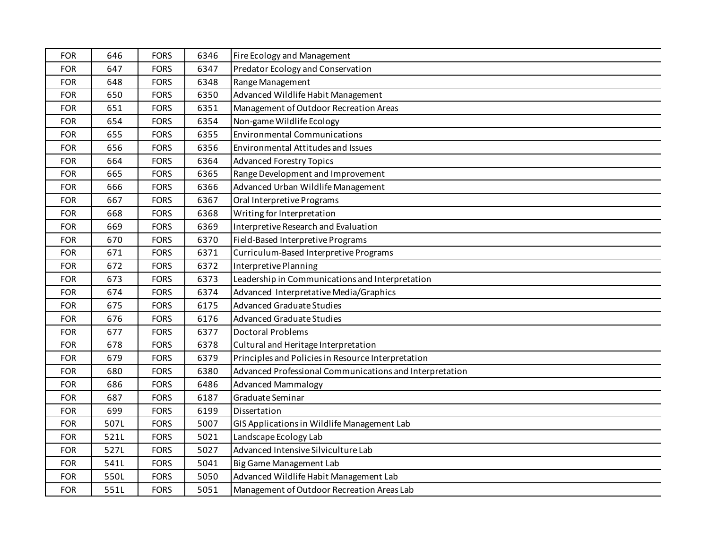| <b>FOR</b> | 646  | <b>FORS</b> | 6346 | Fire Ecology and Management                             |
|------------|------|-------------|------|---------------------------------------------------------|
| <b>FOR</b> | 647  | <b>FORS</b> | 6347 | Predator Ecology and Conservation                       |
| <b>FOR</b> | 648  | <b>FORS</b> | 6348 | Range Management                                        |
| <b>FOR</b> | 650  | <b>FORS</b> | 6350 | Advanced Wildlife Habit Management                      |
| <b>FOR</b> | 651  | <b>FORS</b> | 6351 | Management of Outdoor Recreation Areas                  |
| <b>FOR</b> | 654  | <b>FORS</b> | 6354 | Non-game Wildlife Ecology                               |
| <b>FOR</b> | 655  | <b>FORS</b> | 6355 | <b>Environmental Communications</b>                     |
| <b>FOR</b> | 656  | <b>FORS</b> | 6356 | <b>Environmental Attitudes and Issues</b>               |
| <b>FOR</b> | 664  | <b>FORS</b> | 6364 | <b>Advanced Forestry Topics</b>                         |
| <b>FOR</b> | 665  | <b>FORS</b> | 6365 | Range Development and Improvement                       |
| <b>FOR</b> | 666  | <b>FORS</b> | 6366 | Advanced Urban Wildlife Management                      |
| <b>FOR</b> | 667  | <b>FORS</b> | 6367 | Oral Interpretive Programs                              |
| <b>FOR</b> | 668  | <b>FORS</b> | 6368 | Writing for Interpretation                              |
| <b>FOR</b> | 669  | <b>FORS</b> | 6369 | Interpretive Research and Evaluation                    |
| <b>FOR</b> | 670  | <b>FORS</b> | 6370 | Field-Based Interpretive Programs                       |
| <b>FOR</b> | 671  | <b>FORS</b> | 6371 | Curriculum-Based Interpretive Programs                  |
| <b>FOR</b> | 672  | <b>FORS</b> | 6372 | Interpretive Planning                                   |
| <b>FOR</b> | 673  | <b>FORS</b> | 6373 | Leadership in Communications and Interpretation         |
| <b>FOR</b> | 674  | <b>FORS</b> | 6374 | Advanced Interpretative Media/Graphics                  |
| <b>FOR</b> | 675  | <b>FORS</b> | 6175 | <b>Advanced Graduate Studies</b>                        |
| <b>FOR</b> | 676  | <b>FORS</b> | 6176 | <b>Advanced Graduate Studies</b>                        |
| <b>FOR</b> | 677  | <b>FORS</b> | 6377 | <b>Doctoral Problems</b>                                |
| <b>FOR</b> | 678  | <b>FORS</b> | 6378 | Cultural and Heritage Interpretation                    |
| <b>FOR</b> | 679  | <b>FORS</b> | 6379 | Principles and Policies in Resource Interpretation      |
| <b>FOR</b> | 680  | <b>FORS</b> | 6380 | Advanced Professional Communications and Interpretation |
| <b>FOR</b> | 686  | <b>FORS</b> | 6486 | <b>Advanced Mammalogy</b>                               |
| <b>FOR</b> | 687  | <b>FORS</b> | 6187 | Graduate Seminar                                        |
| <b>FOR</b> | 699  | <b>FORS</b> | 6199 | Dissertation                                            |
| <b>FOR</b> | 507L | <b>FORS</b> | 5007 | GIS Applications in Wildlife Management Lab             |
| <b>FOR</b> | 521L | <b>FORS</b> | 5021 | Landscape Ecology Lab                                   |
| <b>FOR</b> | 527L | <b>FORS</b> | 5027 | Advanced Intensive Silviculture Lab                     |
| <b>FOR</b> | 541L | <b>FORS</b> | 5041 | Big Game Management Lab                                 |
| <b>FOR</b> | 550L | <b>FORS</b> | 5050 | Advanced Wildlife Habit Management Lab                  |
| <b>FOR</b> | 551L | <b>FORS</b> | 5051 | Management of Outdoor Recreation Areas Lab              |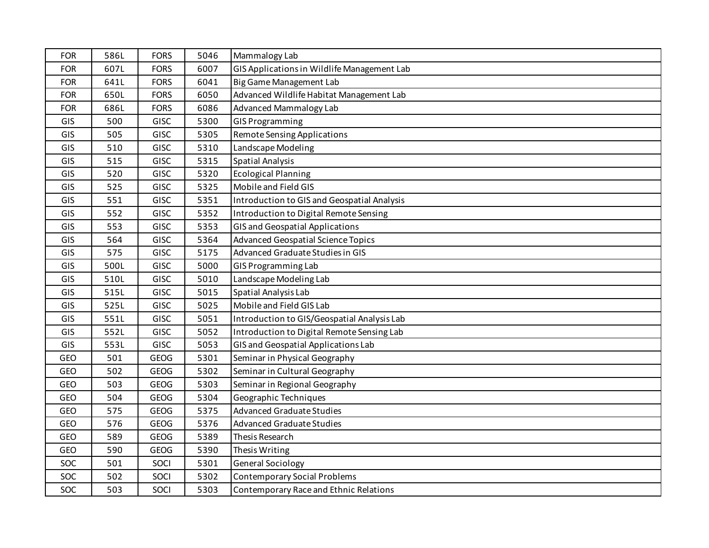| <b>FOR</b> | 586L | <b>FORS</b> | 5046 | Mammalogy Lab                               |
|------------|------|-------------|------|---------------------------------------------|
| <b>FOR</b> | 607L | <b>FORS</b> | 6007 | GIS Applications in Wildlife Management Lab |
| <b>FOR</b> | 641L | <b>FORS</b> | 6041 | Big Game Management Lab                     |
| <b>FOR</b> | 650L | <b>FORS</b> | 6050 | Advanced Wildlife Habitat Management Lab    |
| <b>FOR</b> | 686L | <b>FORS</b> | 6086 | <b>Advanced Mammalogy Lab</b>               |
| GIS        | 500  | <b>GISC</b> | 5300 | <b>GIS Programming</b>                      |
| GIS        | 505  | <b>GISC</b> | 5305 | <b>Remote Sensing Applications</b>          |
| GIS        | 510  | <b>GISC</b> | 5310 | Landscape Modeling                          |
| GIS        | 515  | <b>GISC</b> | 5315 | <b>Spatial Analysis</b>                     |
| GIS        | 520  | <b>GISC</b> | 5320 | <b>Ecological Planning</b>                  |
| GIS        | 525  | <b>GISC</b> | 5325 | Mobile and Field GIS                        |
| GIS        | 551  | <b>GISC</b> | 5351 | Introduction to GIS and Geospatial Analysis |
| GIS        | 552  | <b>GISC</b> | 5352 | Introduction to Digital Remote Sensing      |
| GIS        | 553  | <b>GISC</b> | 5353 | <b>GIS and Geospatial Applications</b>      |
| GIS        | 564  | <b>GISC</b> | 5364 | <b>Advanced Geospatial Science Topics</b>   |
| GIS        | 575  | <b>GISC</b> | 5175 | Advanced Graduate Studies in GIS            |
| GIS        | 500L | <b>GISC</b> | 5000 | GIS Programming Lab                         |
| GIS        | 510L | <b>GISC</b> | 5010 | Landscape Modeling Lab                      |
| GIS        | 515L | <b>GISC</b> | 5015 | Spatial Analysis Lab                        |
| GIS        | 525L | <b>GISC</b> | 5025 | Mobile and Field GIS Lab                    |
| GIS        | 551L | GISC        | 5051 | Introduction to GIS/Geospatial Analysis Lab |
| GIS        | 552L | GISC        | 5052 | Introduction to Digital Remote Sensing Lab  |
| GIS        | 553L | <b>GISC</b> | 5053 | GIS and Geospatial Applications Lab         |
| GEO        | 501  | <b>GEOG</b> | 5301 | Seminar in Physical Geography               |
| GEO        | 502  | GEOG        | 5302 | Seminar in Cultural Geography               |
| GEO        | 503  | GEOG        | 5303 | Seminar in Regional Geography               |
| GEO        | 504  | <b>GEOG</b> | 5304 | Geographic Techniques                       |
| GEO        | 575  | <b>GEOG</b> | 5375 | <b>Advanced Graduate Studies</b>            |
| GEO        | 576  | <b>GEOG</b> | 5376 | <b>Advanced Graduate Studies</b>            |
| GEO        | 589  | <b>GEOG</b> | 5389 | Thesis Research                             |
| GEO        | 590  | <b>GEOG</b> | 5390 | Thesis Writing                              |
| SOC        | 501  | SOCI        | 5301 | <b>General Sociology</b>                    |
| SOC        | 502  | SOCI        | 5302 | <b>Contemporary Social Problems</b>         |
| SOC        | 503  | SOCI        | 5303 | Contemporary Race and Ethnic Relations      |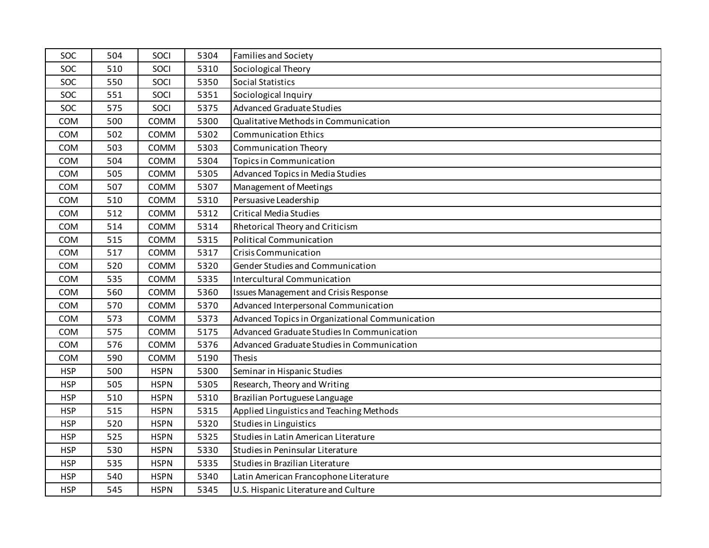| SOC        | 504 | SOCI        | 5304 | <b>Families and Society</b>                     |
|------------|-----|-------------|------|-------------------------------------------------|
| <b>SOC</b> | 510 | SOCI        | 5310 | Sociological Theory                             |
| SOC        | 550 | SOCI        | 5350 | <b>Social Statistics</b>                        |
| SOC        | 551 | SOCI        | 5351 | Sociological Inquiry                            |
| SOC        | 575 | SOCI        | 5375 | <b>Advanced Graduate Studies</b>                |
| COM        | 500 | COMM        | 5300 | Qualitative Methods in Communication            |
| COM        | 502 | COMM        | 5302 | <b>Communication Ethics</b>                     |
| COM        | 503 | COMM        | 5303 | <b>Communication Theory</b>                     |
| COM        | 504 | COMM        | 5304 | <b>Topics in Communication</b>                  |
| COM        | 505 | COMM        | 5305 | <b>Advanced Topics in Media Studies</b>         |
| COM        | 507 | COMM        | 5307 | Management of Meetings                          |
| COM        | 510 | COMM        | 5310 | Persuasive Leadership                           |
| COM        | 512 | COMM        | 5312 | <b>Critical Media Studies</b>                   |
| COM        | 514 | COMM        | 5314 | Rhetorical Theory and Criticism                 |
| COM        | 515 | COMM        | 5315 | <b>Political Communication</b>                  |
| COM        | 517 | COMM        | 5317 | Crisis Communication                            |
| COM        | 520 | COMM        | 5320 | Gender Studies and Communication                |
| COM        | 535 | COMM        | 5335 | <b>Intercultural Communication</b>              |
| COM        | 560 | COMM        | 5360 | <b>Issues Management and Crisis Response</b>    |
| COM        | 570 | COMM        | 5370 | Advanced Interpersonal Communication            |
| COM        | 573 | COMM        | 5373 | Advanced Topics in Organizational Communication |
| COM        | 575 | COMM        | 5175 | Advanced Graduate Studies In Communication      |
| COM        | 576 | COMM        | 5376 | Advanced Graduate Studies in Communication      |
| COM        | 590 | COMM        | 5190 | <b>Thesis</b>                                   |
| <b>HSP</b> | 500 | <b>HSPN</b> | 5300 | Seminar in Hispanic Studies                     |
| <b>HSP</b> | 505 | <b>HSPN</b> | 5305 | Research, Theory and Writing                    |
| <b>HSP</b> | 510 | <b>HSPN</b> | 5310 | Brazilian Portuguese Language                   |
| <b>HSP</b> | 515 | <b>HSPN</b> | 5315 | Applied Linguistics and Teaching Methods        |
| <b>HSP</b> | 520 | <b>HSPN</b> | 5320 | Studies in Linguistics                          |
| <b>HSP</b> | 525 | <b>HSPN</b> | 5325 | Studies in Latin American Literature            |
| <b>HSP</b> | 530 | <b>HSPN</b> | 5330 | Studies in Peninsular Literature                |
| <b>HSP</b> | 535 | <b>HSPN</b> | 5335 | Studies in Brazilian Literature                 |
| <b>HSP</b> | 540 | <b>HSPN</b> | 5340 | Latin American Francophone Literature           |
| <b>HSP</b> | 545 | <b>HSPN</b> | 5345 | U.S. Hispanic Literature and Culture            |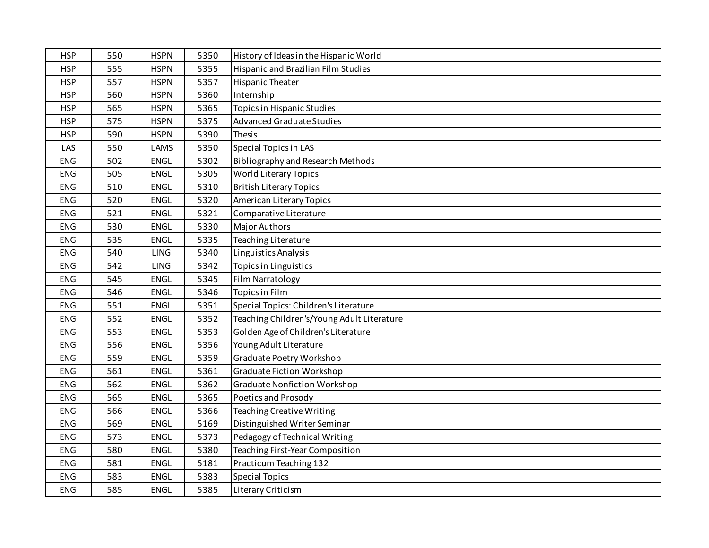| <b>HSP</b> | 550 | <b>HSPN</b> | 5350 | History of Ideas in the Hispanic World     |
|------------|-----|-------------|------|--------------------------------------------|
| <b>HSP</b> | 555 | <b>HSPN</b> | 5355 | <b>Hispanic and Brazilian Film Studies</b> |
| <b>HSP</b> | 557 | <b>HSPN</b> | 5357 | <b>Hispanic Theater</b>                    |
| <b>HSP</b> | 560 | <b>HSPN</b> | 5360 | Internship                                 |
| <b>HSP</b> | 565 | <b>HSPN</b> | 5365 | Topics in Hispanic Studies                 |
| <b>HSP</b> | 575 | <b>HSPN</b> | 5375 | <b>Advanced Graduate Studies</b>           |
| <b>HSP</b> | 590 | <b>HSPN</b> | 5390 | Thesis                                     |
| LAS        | 550 | LAMS        | 5350 | Special Topics in LAS                      |
| <b>ENG</b> | 502 | <b>ENGL</b> | 5302 | <b>Bibliography and Research Methods</b>   |
| <b>ENG</b> | 505 | <b>ENGL</b> | 5305 | World Literary Topics                      |
| <b>ENG</b> | 510 | <b>ENGL</b> | 5310 | <b>British Literary Topics</b>             |
| <b>ENG</b> | 520 | <b>ENGL</b> | 5320 | <b>American Literary Topics</b>            |
| <b>ENG</b> | 521 | <b>ENGL</b> | 5321 | Comparative Literature                     |
| <b>ENG</b> | 530 | ENGL        | 5330 | Major Authors                              |
| <b>ENG</b> | 535 | <b>ENGL</b> | 5335 | Teaching Literature                        |
| <b>ENG</b> | 540 | LING        | 5340 | Linguistics Analysis                       |
| <b>ENG</b> | 542 | LING        | 5342 | Topics in Linguistics                      |
| <b>ENG</b> | 545 | <b>ENGL</b> | 5345 | Film Narratology                           |
| <b>ENG</b> | 546 | <b>ENGL</b> | 5346 | Topics in Film                             |
| <b>ENG</b> | 551 | <b>ENGL</b> | 5351 | Special Topics: Children's Literature      |
| <b>ENG</b> | 552 | <b>ENGL</b> | 5352 | Teaching Children's/Young Adult Literature |
| <b>ENG</b> | 553 | <b>ENGL</b> | 5353 | Golden Age of Children's Literature        |
| <b>ENG</b> | 556 | <b>ENGL</b> | 5356 | Young Adult Literature                     |
| <b>ENG</b> | 559 | <b>ENGL</b> | 5359 | Graduate Poetry Workshop                   |
| <b>ENG</b> | 561 | ENGL        | 5361 | <b>Graduate Fiction Workshop</b>           |
| <b>ENG</b> | 562 | ENGL        | 5362 | <b>Graduate Nonfiction Workshop</b>        |
| ENG        | 565 | <b>ENGL</b> | 5365 | Poetics and Prosody                        |
| <b>ENG</b> | 566 | <b>ENGL</b> | 5366 | <b>Teaching Creative Writing</b>           |
| <b>ENG</b> | 569 | <b>ENGL</b> | 5169 | Distinguished Writer Seminar               |
| <b>ENG</b> | 573 | <b>ENGL</b> | 5373 | Pedagogy of Technical Writing              |
| <b>ENG</b> | 580 | ENGL        | 5380 | Teaching First-Year Composition            |
| <b>ENG</b> | 581 | <b>ENGL</b> | 5181 | Practicum Teaching 132                     |
| <b>ENG</b> | 583 | <b>ENGL</b> | 5383 | <b>Special Topics</b>                      |
| <b>ENG</b> | 585 | <b>ENGL</b> | 5385 | Literary Criticism                         |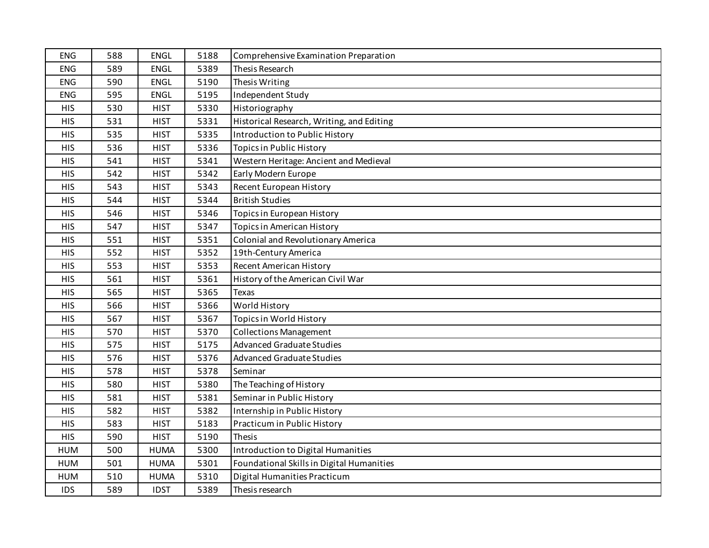| <b>ENG</b> | 588 | <b>ENGL</b> | 5188 | Comprehensive Examination Preparation     |
|------------|-----|-------------|------|-------------------------------------------|
| <b>ENG</b> | 589 | <b>ENGL</b> | 5389 | Thesis Research                           |
| <b>ENG</b> | 590 | <b>ENGL</b> | 5190 | Thesis Writing                            |
| <b>ENG</b> | 595 | <b>ENGL</b> | 5195 | Independent Study                         |
| <b>HIS</b> | 530 | <b>HIST</b> | 5330 | Historiography                            |
| <b>HIS</b> | 531 | <b>HIST</b> | 5331 | Historical Research, Writing, and Editing |
| <b>HIS</b> | 535 | <b>HIST</b> | 5335 | Introduction to Public History            |
| <b>HIS</b> | 536 | <b>HIST</b> | 5336 | <b>Topics in Public History</b>           |
| <b>HIS</b> | 541 | <b>HIST</b> | 5341 | Western Heritage: Ancient and Medieval    |
| <b>HIS</b> | 542 | <b>HIST</b> | 5342 | Early Modern Europe                       |
| <b>HIS</b> | 543 | <b>HIST</b> | 5343 | Recent European History                   |
| <b>HIS</b> | 544 | <b>HIST</b> | 5344 | <b>British Studies</b>                    |
| <b>HIS</b> | 546 | <b>HIST</b> | 5346 | Topics in European History                |
| <b>HIS</b> | 547 | <b>HIST</b> | 5347 | <b>Topics in American History</b>         |
| <b>HIS</b> | 551 | <b>HIST</b> | 5351 | <b>Colonial and Revolutionary America</b> |
| <b>HIS</b> | 552 | <b>HIST</b> | 5352 | 19th-Century America                      |
| <b>HIS</b> | 553 | <b>HIST</b> | 5353 | <b>Recent American History</b>            |
| <b>HIS</b> | 561 | <b>HIST</b> | 5361 | History of the American Civil War         |
| <b>HIS</b> | 565 | <b>HIST</b> | 5365 | Texas                                     |
| <b>HIS</b> | 566 | <b>HIST</b> | 5366 | World History                             |
| <b>HIS</b> | 567 | <b>HIST</b> | 5367 | Topics in World History                   |
| <b>HIS</b> | 570 | <b>HIST</b> | 5370 | <b>Collections Management</b>             |
| <b>HIS</b> | 575 | <b>HIST</b> | 5175 | <b>Advanced Graduate Studies</b>          |
| <b>HIS</b> | 576 | <b>HIST</b> | 5376 | <b>Advanced Graduate Studies</b>          |
| <b>HIS</b> | 578 | <b>HIST</b> | 5378 | Seminar                                   |
| <b>HIS</b> | 580 | <b>HIST</b> | 5380 | The Teaching of History                   |
| <b>HIS</b> | 581 | <b>HIST</b> | 5381 | Seminar in Public History                 |
| <b>HIS</b> | 582 | <b>HIST</b> | 5382 | Internship in Public History              |
| <b>HIS</b> | 583 | <b>HIST</b> | 5183 | Practicum in Public History               |
| <b>HIS</b> | 590 | <b>HIST</b> | 5190 | <b>Thesis</b>                             |
| <b>HUM</b> | 500 | <b>HUMA</b> | 5300 | Introduction to Digital Humanities        |
| <b>HUM</b> | 501 | <b>HUMA</b> | 5301 | Foundational Skills in Digital Humanities |
| <b>HUM</b> | 510 | <b>HUMA</b> | 5310 | Digital Humanities Practicum              |
| <b>IDS</b> | 589 | <b>IDST</b> | 5389 | Thesis research                           |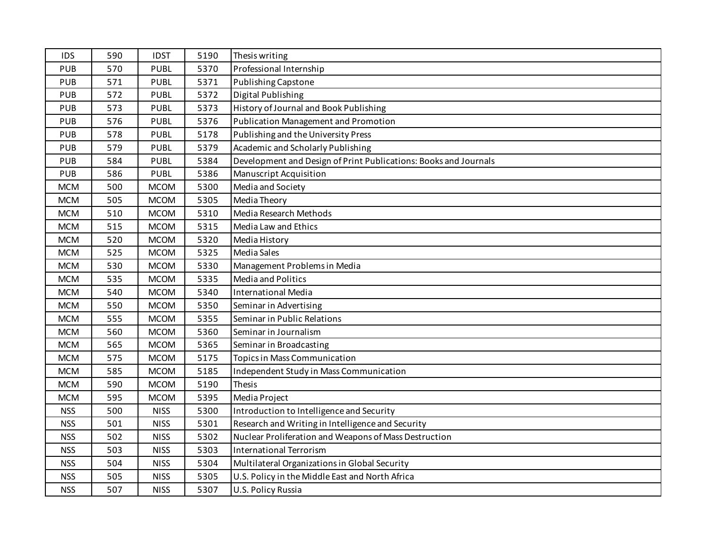| <b>IDS</b> | 590 | <b>IDST</b> | 5190 | Thesis writing                                                   |
|------------|-----|-------------|------|------------------------------------------------------------------|
| <b>PUB</b> | 570 | <b>PUBL</b> | 5370 | Professional Internship                                          |
| <b>PUB</b> | 571 | <b>PUBL</b> | 5371 | <b>Publishing Capstone</b>                                       |
| <b>PUB</b> | 572 | <b>PUBL</b> | 5372 | Digital Publishing                                               |
| <b>PUB</b> | 573 | <b>PUBL</b> | 5373 | History of Journal and Book Publishing                           |
| <b>PUB</b> | 576 | <b>PUBL</b> | 5376 | <b>Publication Management and Promotion</b>                      |
| <b>PUB</b> | 578 | <b>PUBL</b> | 5178 | Publishing and the University Press                              |
| <b>PUB</b> | 579 | <b>PUBL</b> | 5379 | Academic and Scholarly Publishing                                |
| <b>PUB</b> | 584 | <b>PUBL</b> | 5384 | Development and Design of Print Publications: Books and Journals |
| <b>PUB</b> | 586 | <b>PUBL</b> | 5386 | Manuscript Acquisition                                           |
| <b>MCM</b> | 500 | <b>MCOM</b> | 5300 | Media and Society                                                |
| <b>MCM</b> | 505 | <b>MCOM</b> | 5305 | Media Theory                                                     |
| <b>MCM</b> | 510 | <b>MCOM</b> | 5310 | Media Research Methods                                           |
| <b>MCM</b> | 515 | <b>MCOM</b> | 5315 | Media Law and Ethics                                             |
| <b>MCM</b> | 520 | <b>MCOM</b> | 5320 | Media History                                                    |
| <b>MCM</b> | 525 | <b>MCOM</b> | 5325 | Media Sales                                                      |
| <b>MCM</b> | 530 | <b>MCOM</b> | 5330 | Management Problems in Media                                     |
| <b>MCM</b> | 535 | <b>MCOM</b> | 5335 | <b>Media and Politics</b>                                        |
| <b>MCM</b> | 540 | <b>MCOM</b> | 5340 | <b>International Media</b>                                       |
| <b>MCM</b> | 550 | <b>MCOM</b> | 5350 | Seminar in Advertising                                           |
| <b>MCM</b> | 555 | <b>MCOM</b> | 5355 | Seminar in Public Relations                                      |
| <b>MCM</b> | 560 | <b>MCOM</b> | 5360 | Seminar in Journalism                                            |
| <b>MCM</b> | 565 | <b>MCOM</b> | 5365 | Seminar in Broadcasting                                          |
| <b>MCM</b> | 575 | <b>MCOM</b> | 5175 | <b>Topics in Mass Communication</b>                              |
| <b>MCM</b> | 585 | <b>MCOM</b> | 5185 | Independent Study in Mass Communication                          |
| <b>MCM</b> | 590 | <b>MCOM</b> | 5190 | Thesis                                                           |
| <b>MCM</b> | 595 | <b>MCOM</b> | 5395 | Media Project                                                    |
| <b>NSS</b> | 500 | <b>NISS</b> | 5300 | Introduction to Intelligence and Security                        |
| <b>NSS</b> | 501 | <b>NISS</b> | 5301 | Research and Writing in Intelligence and Security                |
| <b>NSS</b> | 502 | <b>NISS</b> | 5302 | Nuclear Proliferation and Weapons of Mass Destruction            |
| <b>NSS</b> | 503 | <b>NISS</b> | 5303 | <b>International Terrorism</b>                                   |
| <b>NSS</b> | 504 | <b>NISS</b> | 5304 | Multilateral Organizations in Global Security                    |
| <b>NSS</b> | 505 | <b>NISS</b> | 5305 | U.S. Policy in the Middle East and North Africa                  |
| <b>NSS</b> | 507 | <b>NISS</b> | 5307 | U.S. Policy Russia                                               |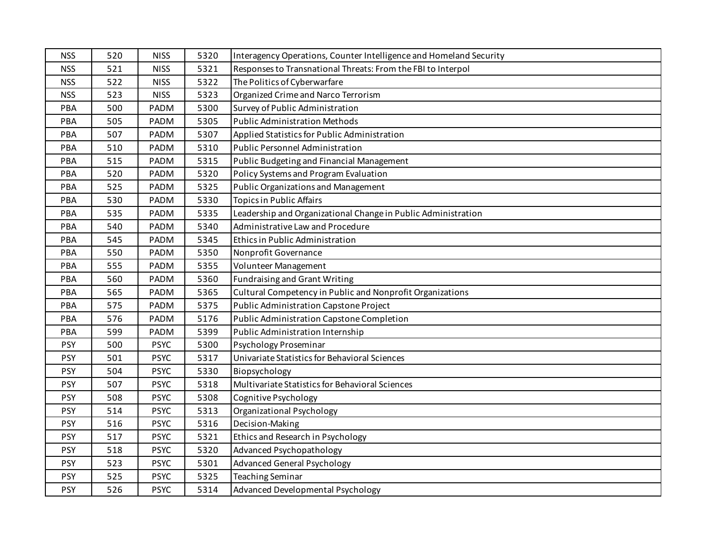| <b>NSS</b> | 520 | <b>NISS</b> | 5320 | Interagency Operations, Counter Intelligence and Homeland Security |
|------------|-----|-------------|------|--------------------------------------------------------------------|
| <b>NSS</b> | 521 | <b>NISS</b> | 5321 | Responses to Transnational Threats: From the FBI to Interpol       |
| <b>NSS</b> | 522 | <b>NISS</b> | 5322 | The Politics of Cyberwarfare                                       |
| <b>NSS</b> | 523 | <b>NISS</b> | 5323 | Organized Crime and Narco Terrorism                                |
| PBA        | 500 | PADM        | 5300 | Survey of Public Administration                                    |
| PBA        | 505 | PADM        | 5305 | <b>Public Administration Methods</b>                               |
| PBA        | 507 | PADM        | 5307 | Applied Statistics for Public Administration                       |
| PBA        | 510 | PADM        | 5310 | <b>Public Personnel Administration</b>                             |
| PBA        | 515 | PADM        | 5315 | Public Budgeting and Financial Management                          |
| PBA        | 520 | PADM        | 5320 | Policy Systems and Program Evaluation                              |
| PBA        | 525 | PADM        | 5325 | Public Organizations and Management                                |
| PBA        | 530 | PADM        | 5330 | <b>Topics in Public Affairs</b>                                    |
| PBA        | 535 | PADM        | 5335 | Leadership and Organizational Change in Public Administration      |
| PBA        | 540 | PADM        | 5340 | Administrative Law and Procedure                                   |
| PBA        | 545 | PADM        | 5345 | Ethics in Public Administration                                    |
| PBA        | 550 | PADM        | 5350 | Nonprofit Governance                                               |
| PBA        | 555 | PADM        | 5355 | Volunteer Management                                               |
| PBA        | 560 | PADM        | 5360 | <b>Fundraising and Grant Writing</b>                               |
| PBA        | 565 | PADM        | 5365 | Cultural Competency in Public and Nonprofit Organizations          |
| PBA        | 575 | PADM        | 5375 | Public Administration Capstone Project                             |
| PBA        | 576 | PADM        | 5176 | Public Administration Capstone Completion                          |
| PBA        | 599 | PADM        | 5399 | Public Administration Internship                                   |
| <b>PSY</b> | 500 | <b>PSYC</b> | 5300 | Psychology Proseminar                                              |
| <b>PSY</b> | 501 | <b>PSYC</b> | 5317 | Univariate Statistics for Behavioral Sciences                      |
| <b>PSY</b> | 504 | <b>PSYC</b> | 5330 | Biopsychology                                                      |
| <b>PSY</b> | 507 | <b>PSYC</b> | 5318 | Multivariate Statistics for Behavioral Sciences                    |
| <b>PSY</b> | 508 | <b>PSYC</b> | 5308 | Cognitive Psychology                                               |
| <b>PSY</b> | 514 | <b>PSYC</b> | 5313 | Organizational Psychology                                          |
| <b>PSY</b> | 516 | <b>PSYC</b> | 5316 | Decision-Making                                                    |
| <b>PSY</b> | 517 | <b>PSYC</b> | 5321 | Ethics and Research in Psychology                                  |
| <b>PSY</b> | 518 | <b>PSYC</b> | 5320 | <b>Advanced Psychopathology</b>                                    |
| <b>PSY</b> | 523 | <b>PSYC</b> | 5301 | <b>Advanced General Psychology</b>                                 |
| <b>PSY</b> | 525 | <b>PSYC</b> | 5325 | <b>Teaching Seminar</b>                                            |
| <b>PSY</b> | 526 | <b>PSYC</b> | 5314 | Advanced Developmental Psychology                                  |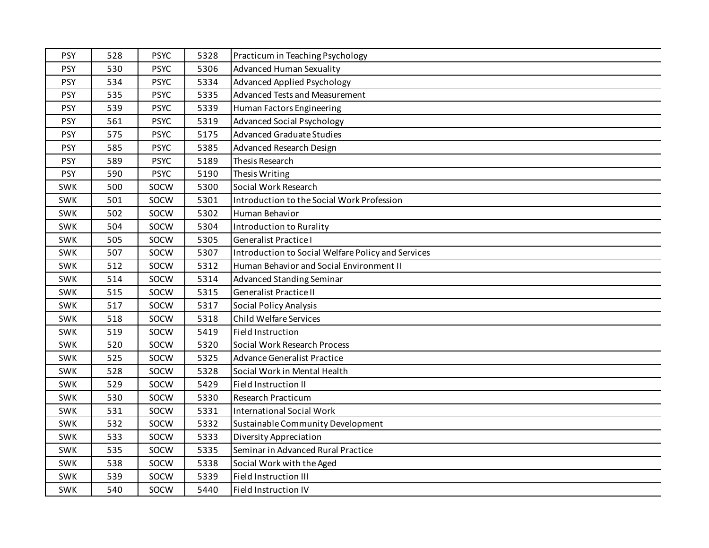| <b>PSY</b> | 528 | <b>PSYC</b> | 5328 | Practicum in Teaching Psychology                   |
|------------|-----|-------------|------|----------------------------------------------------|
| <b>PSY</b> | 530 | <b>PSYC</b> | 5306 | <b>Advanced Human Sexuality</b>                    |
| <b>PSY</b> | 534 | <b>PSYC</b> | 5334 | <b>Advanced Applied Psychology</b>                 |
| <b>PSY</b> | 535 | <b>PSYC</b> | 5335 | <b>Advanced Tests and Measurement</b>              |
| PSY        | 539 | <b>PSYC</b> | 5339 | Human Factors Engineering                          |
| <b>PSY</b> | 561 | <b>PSYC</b> | 5319 | <b>Advanced Social Psychology</b>                  |
| <b>PSY</b> | 575 | <b>PSYC</b> | 5175 | <b>Advanced Graduate Studies</b>                   |
| <b>PSY</b> | 585 | <b>PSYC</b> | 5385 | Advanced Research Design                           |
| <b>PSY</b> | 589 | <b>PSYC</b> | 5189 | Thesis Research                                    |
| <b>PSY</b> | 590 | <b>PSYC</b> | 5190 | Thesis Writing                                     |
| <b>SWK</b> | 500 | SOCW        | 5300 | Social Work Research                               |
| <b>SWK</b> | 501 | SOCW        | 5301 | Introduction to the Social Work Profession         |
| <b>SWK</b> | 502 | SOCW        | 5302 | Human Behavior                                     |
| <b>SWK</b> | 504 | SOCW        | 5304 | Introduction to Rurality                           |
| <b>SWK</b> | 505 | SOCW        | 5305 | <b>Generalist Practice I</b>                       |
| <b>SWK</b> | 507 | SOCW        | 5307 | Introduction to Social Welfare Policy and Services |
| <b>SWK</b> | 512 | SOCW        | 5312 | Human Behavior and Social Environment II           |
| SWK        | 514 | SOCW        | 5314 | <b>Advanced Standing Seminar</b>                   |
| <b>SWK</b> | 515 | SOCW        | 5315 | <b>Generalist Practice II</b>                      |
| <b>SWK</b> | 517 | SOCW        | 5317 | <b>Social Policy Analysis</b>                      |
| <b>SWK</b> | 518 | SOCW        | 5318 | Child Welfare Services                             |
| <b>SWK</b> | 519 | SOCW        | 5419 | <b>Field Instruction</b>                           |
| <b>SWK</b> | 520 | SOCW        | 5320 | Social Work Research Process                       |
| <b>SWK</b> | 525 | SOCW        | 5325 | <b>Advance Generalist Practice</b>                 |
| <b>SWK</b> | 528 | SOCW        | 5328 | Social Work in Mental Health                       |
| <b>SWK</b> | 529 | SOCW        | 5429 | Field Instruction II                               |
| <b>SWK</b> | 530 | SOCW        | 5330 | Research Practicum                                 |
| <b>SWK</b> | 531 | SOCW        | 5331 | <b>International Social Work</b>                   |
| <b>SWK</b> | 532 | SOCW        | 5332 | Sustainable Community Development                  |
| <b>SWK</b> | 533 | SOCW        | 5333 | <b>Diversity Appreciation</b>                      |
| SWK        | 535 | SOCW        | 5335 | Seminar in Advanced Rural Practice                 |
| <b>SWK</b> | 538 | SOCW        | 5338 | Social Work with the Aged                          |
| <b>SWK</b> | 539 | SOCW        | 5339 | Field Instruction III                              |
| SWK        | 540 | SOCW        | 5440 | <b>Field Instruction IV</b>                        |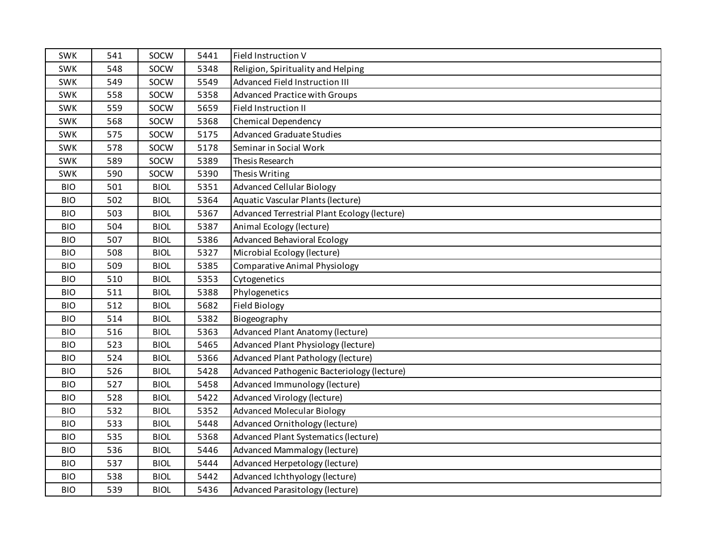| <b>SWK</b> | 541 | SOCW        | 5441 | Field Instruction V                          |
|------------|-----|-------------|------|----------------------------------------------|
| <b>SWK</b> | 548 | SOCW        | 5348 | Religion, Spirituality and Helping           |
| <b>SWK</b> | 549 | SOCW        | 5549 | Advanced Field Instruction III               |
| <b>SWK</b> | 558 | SOCW        | 5358 | <b>Advanced Practice with Groups</b>         |
| SWK        | 559 | SOCW        | 5659 | Field Instruction II                         |
| <b>SWK</b> | 568 | SOCW        | 5368 | Chemical Dependency                          |
| <b>SWK</b> | 575 | SOCW        | 5175 | <b>Advanced Graduate Studies</b>             |
| SWK        | 578 | SOCW        | 5178 | Seminar in Social Work                       |
| <b>SWK</b> | 589 | SOCW        | 5389 | Thesis Research                              |
| <b>SWK</b> | 590 | SOCW        | 5390 | Thesis Writing                               |
| <b>BIO</b> | 501 | <b>BIOL</b> | 5351 | <b>Advanced Cellular Biology</b>             |
| <b>BIO</b> | 502 | <b>BIOL</b> | 5364 | Aquatic Vascular Plants (lecture)            |
| <b>BIO</b> | 503 | <b>BIOL</b> | 5367 | Advanced Terrestrial Plant Ecology (lecture) |
| <b>BIO</b> | 504 | <b>BIOL</b> | 5387 | Animal Ecology (lecture)                     |
| <b>BIO</b> | 507 | <b>BIOL</b> | 5386 | <b>Advanced Behavioral Ecology</b>           |
| <b>BIO</b> | 508 | <b>BIOL</b> | 5327 | Microbial Ecology (lecture)                  |
| <b>BIO</b> | 509 | <b>BIOL</b> | 5385 | <b>Comparative Animal Physiology</b>         |
| <b>BIO</b> | 510 | <b>BIOL</b> | 5353 | Cytogenetics                                 |
| <b>BIO</b> | 511 | <b>BIOL</b> | 5388 | Phylogenetics                                |
| <b>BIO</b> | 512 | <b>BIOL</b> | 5682 | <b>Field Biology</b>                         |
| <b>BIO</b> | 514 | <b>BIOL</b> | 5382 | Biogeography                                 |
| <b>BIO</b> | 516 | <b>BIOL</b> | 5363 | Advanced Plant Anatomy (lecture)             |
| <b>BIO</b> | 523 | <b>BIOL</b> | 5465 | Advanced Plant Physiology (lecture)          |
| <b>BIO</b> | 524 | <b>BIOL</b> | 5366 | Advanced Plant Pathology (lecture)           |
| <b>BIO</b> | 526 | <b>BIOL</b> | 5428 | Advanced Pathogenic Bacteriology (lecture)   |
| <b>BIO</b> | 527 | <b>BIOL</b> | 5458 | Advanced Immunology (lecture)                |
| <b>BIO</b> | 528 | <b>BIOL</b> | 5422 | Advanced Virology (lecture)                  |
| <b>BIO</b> | 532 | <b>BIOL</b> | 5352 | <b>Advanced Molecular Biology</b>            |
| <b>BIO</b> | 533 | <b>BIOL</b> | 5448 | Advanced Ornithology (lecture)               |
| <b>BIO</b> | 535 | <b>BIOL</b> | 5368 | Advanced Plant Systematics (lecture)         |
| <b>BIO</b> | 536 | <b>BIOL</b> | 5446 | Advanced Mammalogy (lecture)                 |
| <b>BIO</b> | 537 | <b>BIOL</b> | 5444 | Advanced Herpetology (lecture)               |
| <b>BIO</b> | 538 | <b>BIOL</b> | 5442 | Advanced Ichthyology (lecture)               |
| <b>BIO</b> | 539 | <b>BIOL</b> | 5436 | Advanced Parasitology (lecture)              |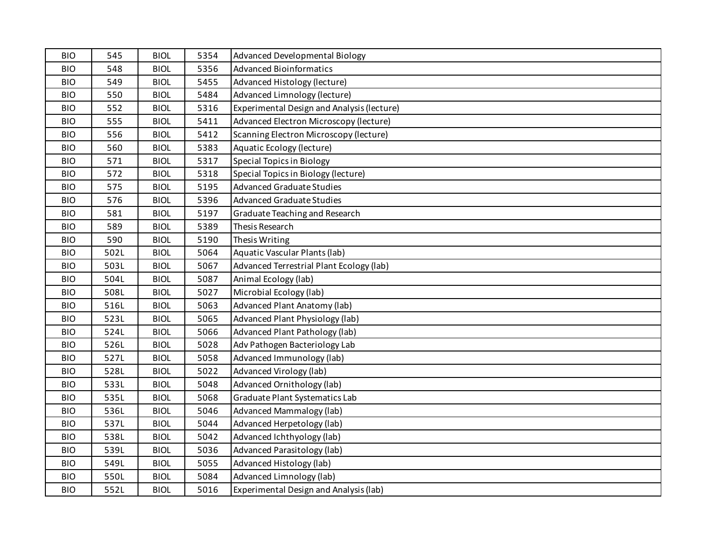| <b>BIO</b> | 545  | <b>BIOL</b> | 5354 | <b>Advanced Developmental Biology</b>      |
|------------|------|-------------|------|--------------------------------------------|
| <b>BIO</b> | 548  | <b>BIOL</b> | 5356 | <b>Advanced Bioinformatics</b>             |
| <b>BIO</b> | 549  | <b>BIOL</b> | 5455 | Advanced Histology (lecture)               |
| <b>BIO</b> | 550  | <b>BIOL</b> | 5484 | Advanced Limnology (lecture)               |
| <b>BIO</b> | 552  | <b>BIOL</b> | 5316 | Experimental Design and Analysis (lecture) |
| <b>BIO</b> | 555  | <b>BIOL</b> | 5411 | Advanced Electron Microscopy (lecture)     |
| <b>BIO</b> | 556  | <b>BIOL</b> | 5412 | Scanning Electron Microscopy (lecture)     |
| <b>BIO</b> | 560  | <b>BIOL</b> | 5383 | Aquatic Ecology (lecture)                  |
| <b>BIO</b> | 571  | <b>BIOL</b> | 5317 | <b>Special Topics in Biology</b>           |
| <b>BIO</b> | 572  | <b>BIOL</b> | 5318 | Special Topics in Biology (lecture)        |
| <b>BIO</b> | 575  | <b>BIOL</b> | 5195 | <b>Advanced Graduate Studies</b>           |
| <b>BIO</b> | 576  | <b>BIOL</b> | 5396 | <b>Advanced Graduate Studies</b>           |
| <b>BIO</b> | 581  | <b>BIOL</b> | 5197 | Graduate Teaching and Research             |
| <b>BIO</b> | 589  | <b>BIOL</b> | 5389 | Thesis Research                            |
| <b>BIO</b> | 590  | <b>BIOL</b> | 5190 | Thesis Writing                             |
| <b>BIO</b> | 502L | <b>BIOL</b> | 5064 | Aquatic Vascular Plants (lab)              |
| <b>BIO</b> | 503L | <b>BIOL</b> | 5067 | Advanced Terrestrial Plant Ecology (lab)   |
| <b>BIO</b> | 504L | <b>BIOL</b> | 5087 | Animal Ecology (lab)                       |
| <b>BIO</b> | 508L | <b>BIOL</b> | 5027 | Microbial Ecology (lab)                    |
| <b>BIO</b> | 516L | <b>BIOL</b> | 5063 | Advanced Plant Anatomy (lab)               |
| <b>BIO</b> | 523L | <b>BIOL</b> | 5065 | Advanced Plant Physiology (lab)            |
| <b>BIO</b> | 524L | <b>BIOL</b> | 5066 | Advanced Plant Pathology (lab)             |
| <b>BIO</b> | 526L | <b>BIOL</b> | 5028 | Adv Pathogen Bacteriology Lab              |
| <b>BIO</b> | 527L | <b>BIOL</b> | 5058 | Advanced Immunology (lab)                  |
| <b>BIO</b> | 528L | <b>BIOL</b> | 5022 | Advanced Virology (lab)                    |
| <b>BIO</b> | 533L | <b>BIOL</b> | 5048 | Advanced Ornithology (lab)                 |
| <b>BIO</b> | 535L | <b>BIOL</b> | 5068 | Graduate Plant Systematics Lab             |
| <b>BIO</b> | 536L | <b>BIOL</b> | 5046 | <b>Advanced Mammalogy (lab)</b>            |
| <b>BIO</b> | 537L | <b>BIOL</b> | 5044 | Advanced Herpetology (lab)                 |
| <b>BIO</b> | 538L | <b>BIOL</b> | 5042 | Advanced Ichthyology (lab)                 |
| <b>BIO</b> | 539L | <b>BIOL</b> | 5036 | Advanced Parasitology (lab)                |
| <b>BIO</b> | 549L | <b>BIOL</b> | 5055 | Advanced Histology (lab)                   |
| <b>BIO</b> | 550L | <b>BIOL</b> | 5084 | Advanced Limnology (lab)                   |
| <b>BIO</b> | 552L | <b>BIOL</b> | 5016 | Experimental Design and Analysis (lab)     |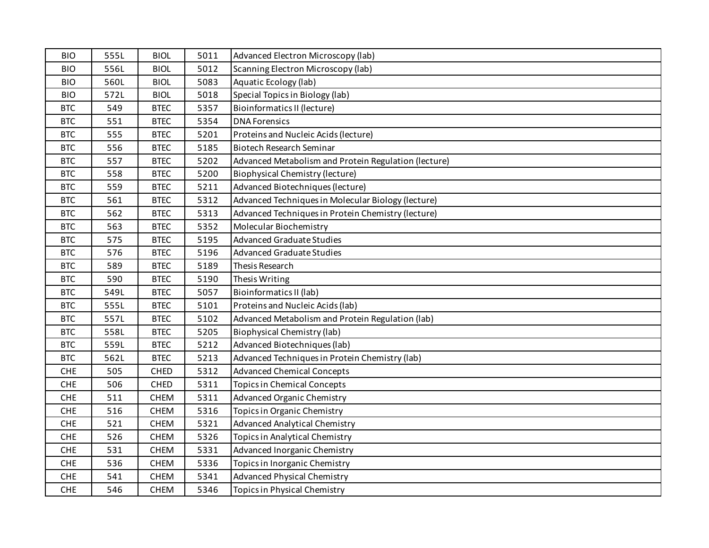| <b>BIO</b> | 555L | <b>BIOL</b> | 5011 | Advanced Electron Microscopy (lab)                   |
|------------|------|-------------|------|------------------------------------------------------|
| <b>BIO</b> | 556L | <b>BIOL</b> | 5012 | Scanning Electron Microscopy (lab)                   |
| <b>BIO</b> | 560L | <b>BIOL</b> | 5083 | Aquatic Ecology (lab)                                |
| <b>BIO</b> | 572L | <b>BIOL</b> | 5018 | Special Topics in Biology (lab)                      |
| <b>BTC</b> | 549  | <b>BTEC</b> | 5357 | <b>Bioinformatics II (lecture)</b>                   |
| <b>BTC</b> | 551  | <b>BTEC</b> | 5354 | <b>DNA Forensics</b>                                 |
| <b>BTC</b> | 555  | <b>BTEC</b> | 5201 | Proteins and Nucleic Acids (lecture)                 |
| <b>BTC</b> | 556  | <b>BTEC</b> | 5185 | <b>Biotech Research Seminar</b>                      |
| <b>BTC</b> | 557  | <b>BTEC</b> | 5202 | Advanced Metabolism and Protein Regulation (lecture) |
| <b>BTC</b> | 558  | <b>BTEC</b> | 5200 | <b>Biophysical Chemistry (lecture)</b>               |
| <b>BTC</b> | 559  | <b>BTEC</b> | 5211 | Advanced Biotechniques (lecture)                     |
| <b>BTC</b> | 561  | <b>BTEC</b> | 5312 | Advanced Techniques in Molecular Biology (lecture)   |
| <b>BTC</b> | 562  | <b>BTEC</b> | 5313 | Advanced Techniques in Protein Chemistry (lecture)   |
| <b>BTC</b> | 563  | <b>BTEC</b> | 5352 | Molecular Biochemistry                               |
| <b>BTC</b> | 575  | <b>BTEC</b> | 5195 | <b>Advanced Graduate Studies</b>                     |
| <b>BTC</b> | 576  | <b>BTEC</b> | 5196 | <b>Advanced Graduate Studies</b>                     |
| <b>BTC</b> | 589  | <b>BTEC</b> | 5189 | Thesis Research                                      |
| <b>BTC</b> | 590  | <b>BTEC</b> | 5190 | Thesis Writing                                       |
| <b>BTC</b> | 549L | <b>BTEC</b> | 5057 | Bioinformatics II (lab)                              |
| <b>BTC</b> | 555L | <b>BTEC</b> | 5101 | Proteins and Nucleic Acids (lab)                     |
| <b>BTC</b> | 557L | <b>BTEC</b> | 5102 | Advanced Metabolism and Protein Regulation (lab)     |
| <b>BTC</b> | 558L | <b>BTEC</b> | 5205 | <b>Biophysical Chemistry (lab)</b>                   |
| <b>BTC</b> | 559L | <b>BTEC</b> | 5212 | Advanced Biotechniques (lab)                         |
| <b>BTC</b> | 562L | <b>BTEC</b> | 5213 | Advanced Techniques in Protein Chemistry (lab)       |
| <b>CHE</b> | 505  | CHED        | 5312 | <b>Advanced Chemical Concepts</b>                    |
| <b>CHE</b> | 506  | CHED        | 5311 | <b>Topics in Chemical Concepts</b>                   |
| <b>CHE</b> | 511  | <b>CHEM</b> | 5311 | <b>Advanced Organic Chemistry</b>                    |
| <b>CHE</b> | 516  | <b>CHEM</b> | 5316 | Topics in Organic Chemistry                          |
| <b>CHE</b> | 521  | <b>CHEM</b> | 5321 | <b>Advanced Analytical Chemistry</b>                 |
| <b>CHE</b> | 526  | <b>CHEM</b> | 5326 | <b>Topics in Analytical Chemistry</b>                |
| <b>CHE</b> | 531  | <b>CHEM</b> | 5331 | Advanced Inorganic Chemistry                         |
| <b>CHE</b> | 536  | <b>CHEM</b> | 5336 | Topics in Inorganic Chemistry                        |
| <b>CHE</b> | 541  | <b>CHEM</b> | 5341 | <b>Advanced Physical Chemistry</b>                   |
| CHE        | 546  | <b>CHEM</b> | 5346 | <b>Topics in Physical Chemistry</b>                  |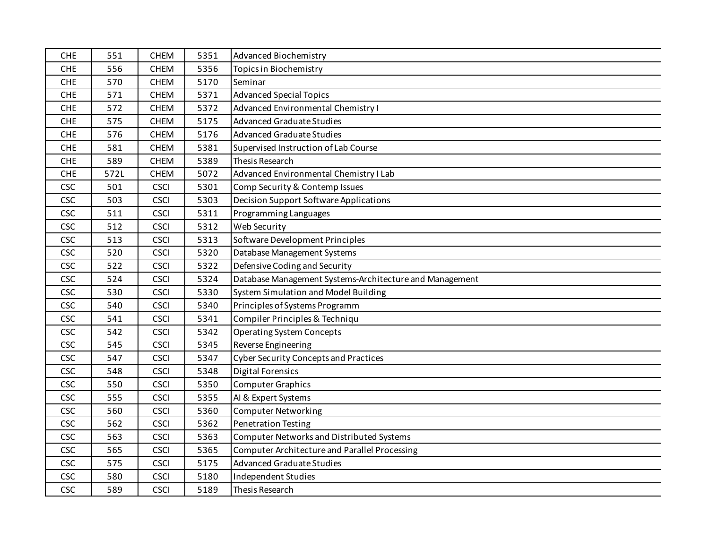| <b>CHE</b> | 551  | <b>CHEM</b> | 5351 | <b>Advanced Biochemistry</b>                            |
|------------|------|-------------|------|---------------------------------------------------------|
| <b>CHE</b> | 556  | <b>CHEM</b> | 5356 | <b>Topics in Biochemistry</b>                           |
| <b>CHE</b> | 570  | <b>CHEM</b> | 5170 | Seminar                                                 |
| <b>CHE</b> | 571  | <b>CHEM</b> | 5371 | <b>Advanced Special Topics</b>                          |
| <b>CHE</b> | 572  | CHEM        | 5372 | Advanced Environmental Chemistry I                      |
| <b>CHE</b> | 575  | <b>CHEM</b> | 5175 | <b>Advanced Graduate Studies</b>                        |
| <b>CHE</b> | 576  | <b>CHEM</b> | 5176 | <b>Advanced Graduate Studies</b>                        |
| <b>CHE</b> | 581  | <b>CHEM</b> | 5381 | Supervised Instruction of Lab Course                    |
| <b>CHE</b> | 589  | <b>CHEM</b> | 5389 | Thesis Research                                         |
| <b>CHE</b> | 572L | <b>CHEM</b> | 5072 | Advanced Environmental Chemistry I Lab                  |
| CSC        | 501  | <b>CSCI</b> | 5301 | Comp Security & Contemp Issues                          |
| <b>CSC</b> | 503  | <b>CSCI</b> | 5303 | <b>Decision Support Software Applications</b>           |
| <b>CSC</b> | 511  | <b>CSCI</b> | 5311 | Programming Languages                                   |
| <b>CSC</b> | 512  | <b>CSCI</b> | 5312 | Web Security                                            |
| <b>CSC</b> | 513  | <b>CSCI</b> | 5313 | Software Development Principles                         |
| <b>CSC</b> | 520  | <b>CSCI</b> | 5320 | Database Management Systems                             |
| <b>CSC</b> | 522  | <b>CSCI</b> | 5322 | Defensive Coding and Security                           |
| <b>CSC</b> | 524  | <b>CSCI</b> | 5324 | Database Management Systems-Architecture and Management |
| <b>CSC</b> | 530  | <b>CSCI</b> | 5330 | System Simulation and Model Building                    |
| <b>CSC</b> | 540  | <b>CSCI</b> | 5340 | Principles of Systems Programm                          |
| <b>CSC</b> | 541  | <b>CSCI</b> | 5341 | Compiler Principles & Techniqu                          |
| <b>CSC</b> | 542  | <b>CSCI</b> | 5342 | <b>Operating System Concepts</b>                        |
| <b>CSC</b> | 545  | <b>CSCI</b> | 5345 | Reverse Engineering                                     |
| CSC        | 547  | <b>CSCI</b> | 5347 | <b>Cyber Security Concepts and Practices</b>            |
| <b>CSC</b> | 548  | <b>CSCI</b> | 5348 | <b>Digital Forensics</b>                                |
| <b>CSC</b> | 550  | <b>CSCI</b> | 5350 | <b>Computer Graphics</b>                                |
| <b>CSC</b> | 555  | <b>CSCI</b> | 5355 | AI & Expert Systems                                     |
| <b>CSC</b> | 560  | <b>CSCI</b> | 5360 | <b>Computer Networking</b>                              |
| <b>CSC</b> | 562  | <b>CSCI</b> | 5362 | <b>Penetration Testing</b>                              |
| <b>CSC</b> | 563  | <b>CSCI</b> | 5363 | Computer Networks and Distributed Systems               |
| <b>CSC</b> | 565  | <b>CSCI</b> | 5365 | <b>Computer Architecture and Parallel Processing</b>    |
| <b>CSC</b> | 575  | <b>CSCI</b> | 5175 | <b>Advanced Graduate Studies</b>                        |
| <b>CSC</b> | 580  | <b>CSCI</b> | 5180 | Independent Studies                                     |
| <b>CSC</b> | 589  | <b>CSCI</b> | 5189 | Thesis Research                                         |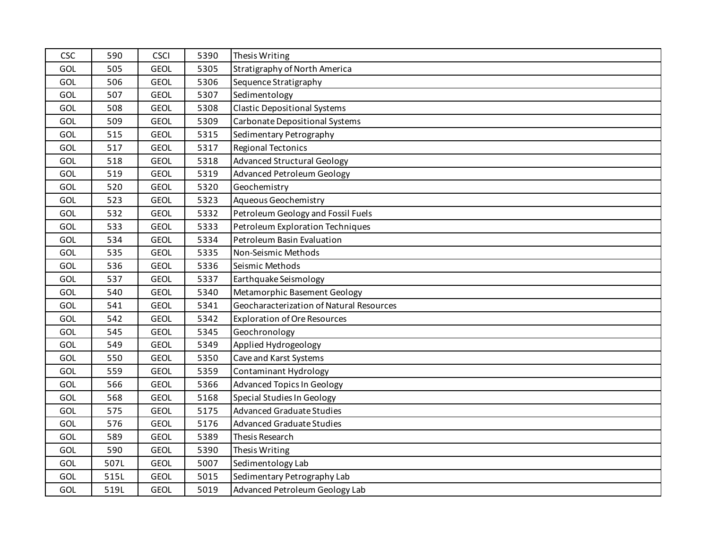| <b>CSC</b> | 590  | <b>CSCI</b> | 5390 | Thesis Writing                           |
|------------|------|-------------|------|------------------------------------------|
| GOL        | 505  | <b>GEOL</b> | 5305 | Stratigraphy of North America            |
| GOL        | 506  | <b>GEOL</b> | 5306 | Sequence Stratigraphy                    |
| GOL        | 507  | <b>GEOL</b> | 5307 | Sedimentology                            |
| GOL        | 508  | <b>GEOL</b> | 5308 | <b>Clastic Depositional Systems</b>      |
| GOL        | 509  | <b>GEOL</b> | 5309 | Carbonate Depositional Systems           |
| <b>GOL</b> | 515  | <b>GEOL</b> | 5315 | Sedimentary Petrography                  |
| <b>GOL</b> | 517  | <b>GEOL</b> | 5317 | <b>Regional Tectonics</b>                |
| GOL        | 518  | <b>GEOL</b> | 5318 | <b>Advanced Structural Geology</b>       |
| GOL        | 519  | <b>GEOL</b> | 5319 | <b>Advanced Petroleum Geology</b>        |
| <b>GOL</b> | 520  | <b>GEOL</b> | 5320 | Geochemistry                             |
| GOL        | 523  | <b>GEOL</b> | 5323 | Aqueous Geochemistry                     |
| GOL        | 532  | <b>GEOL</b> | 5332 | Petroleum Geology and Fossil Fuels       |
| GOL        | 533  | <b>GEOL</b> | 5333 | Petroleum Exploration Techniques         |
| GOL        | 534  | <b>GEOL</b> | 5334 | Petroleum Basin Evaluation               |
| GOL        | 535  | <b>GEOL</b> | 5335 | Non-Seismic Methods                      |
| GOL        | 536  | <b>GEOL</b> | 5336 | Seismic Methods                          |
| GOL        | 537  | <b>GEOL</b> | 5337 | Earthquake Seismology                    |
| GOL        | 540  | <b>GEOL</b> | 5340 | Metamorphic Basement Geology             |
| GOL        | 541  | <b>GEOL</b> | 5341 | Geocharacterization of Natural Resources |
| <b>GOL</b> | 542  | <b>GEOL</b> | 5342 | <b>Exploration of Ore Resources</b>      |
| <b>GOL</b> | 545  | <b>GEOL</b> | 5345 | Geochronology                            |
| GOL        | 549  | <b>GEOL</b> | 5349 | Applied Hydrogeology                     |
| GOL        | 550  | <b>GEOL</b> | 5350 | Cave and Karst Systems                   |
| GOL        | 559  | <b>GEOL</b> | 5359 | <b>Contaminant Hydrology</b>             |
| GOL        | 566  | <b>GEOL</b> | 5366 | <b>Advanced Topics In Geology</b>        |
| <b>GOL</b> | 568  | <b>GEOL</b> | 5168 | Special Studies In Geology               |
| GOL        | 575  | <b>GEOL</b> | 5175 | <b>Advanced Graduate Studies</b>         |
| GOL        | 576  | <b>GEOL</b> | 5176 | <b>Advanced Graduate Studies</b>         |
| GOL        | 589  | <b>GEOL</b> | 5389 | Thesis Research                          |
| <b>GOL</b> | 590  | <b>GEOL</b> | 5390 | Thesis Writing                           |
| GOL        | 507L | <b>GEOL</b> | 5007 | Sedimentology Lab                        |
| GOL        | 515L | <b>GEOL</b> | 5015 | Sedimentary Petrography Lab              |
| GOL        | 519L | <b>GEOL</b> | 5019 | Advanced Petroleum Geology Lab           |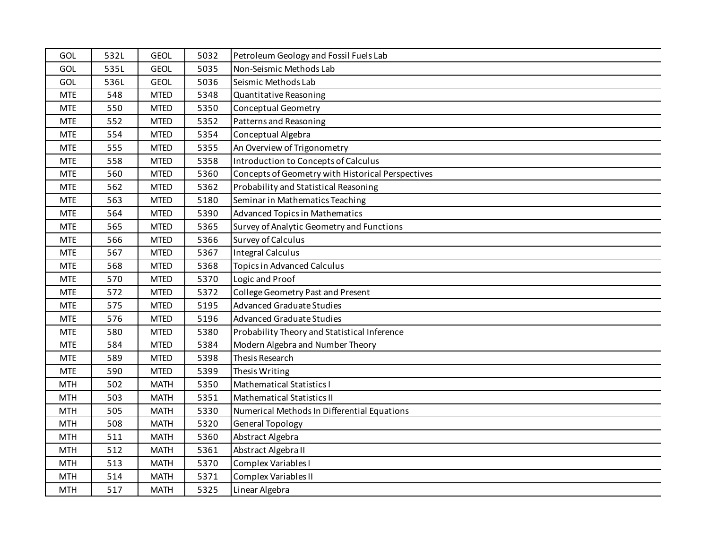| GOL        | 532L | <b>GEOL</b> | 5032 | Petroleum Geology and Fossil Fuels Lab            |
|------------|------|-------------|------|---------------------------------------------------|
| GOL        | 535L | <b>GEOL</b> | 5035 | Non-Seismic Methods Lab                           |
| GOL        | 536L | <b>GEOL</b> | 5036 | Seismic Methods Lab                               |
| <b>MTE</b> | 548  | <b>MTED</b> | 5348 | Quantitative Reasoning                            |
| <b>MTE</b> | 550  | <b>MTED</b> | 5350 | <b>Conceptual Geometry</b>                        |
| <b>MTE</b> | 552  | <b>MTED</b> | 5352 | Patterns and Reasoning                            |
| <b>MTE</b> | 554  | <b>MTED</b> | 5354 | Conceptual Algebra                                |
| <b>MTE</b> | 555  | <b>MTED</b> | 5355 | An Overview of Trigonometry                       |
| <b>MTE</b> | 558  | <b>MTED</b> | 5358 | Introduction to Concepts of Calculus              |
| <b>MTE</b> | 560  | <b>MTED</b> | 5360 | Concepts of Geometry with Historical Perspectives |
| <b>MTE</b> | 562  | <b>MTED</b> | 5362 | Probability and Statistical Reasoning             |
| <b>MTE</b> | 563  | <b>MTED</b> | 5180 | Seminar in Mathematics Teaching                   |
| <b>MTE</b> | 564  | <b>MTED</b> | 5390 | <b>Advanced Topics in Mathematics</b>             |
| <b>MTE</b> | 565  | <b>MTED</b> | 5365 | Survey of Analytic Geometry and Functions         |
| <b>MTE</b> | 566  | <b>MTED</b> | 5366 | Survey of Calculus                                |
| <b>MTE</b> | 567  | <b>MTED</b> | 5367 | <b>Integral Calculus</b>                          |
| <b>MTE</b> | 568  | <b>MTED</b> | 5368 | <b>Topics in Advanced Calculus</b>                |
| <b>MTE</b> | 570  | <b>MTED</b> | 5370 | Logic and Proof                                   |
| <b>MTE</b> | 572  | <b>MTED</b> | 5372 | College Geometry Past and Present                 |
| <b>MTE</b> | 575  | <b>MTED</b> | 5195 | <b>Advanced Graduate Studies</b>                  |
| <b>MTE</b> | 576  | <b>MTED</b> | 5196 | <b>Advanced Graduate Studies</b>                  |
| <b>MTE</b> | 580  | <b>MTED</b> | 5380 | Probability Theory and Statistical Inference      |
| <b>MTE</b> | 584  | <b>MTED</b> | 5384 | Modern Algebra and Number Theory                  |
| <b>MTE</b> | 589  | <b>MTED</b> | 5398 | Thesis Research                                   |
| <b>MTE</b> | 590  | <b>MTED</b> | 5399 | Thesis Writing                                    |
| <b>MTH</b> | 502  | <b>MATH</b> | 5350 | <b>Mathematical Statistics I</b>                  |
| <b>MTH</b> | 503  | <b>MATH</b> | 5351 | <b>Mathematical Statistics II</b>                 |
| <b>MTH</b> | 505  | <b>MATH</b> | 5330 | Numerical Methods In Differential Equations       |
| <b>MTH</b> | 508  | <b>MATH</b> | 5320 | <b>General Topology</b>                           |
| <b>MTH</b> | 511  | <b>MATH</b> | 5360 | Abstract Algebra                                  |
| <b>MTH</b> | 512  | <b>MATH</b> | 5361 | Abstract Algebra II                               |
| <b>MTH</b> | 513  | <b>MATH</b> | 5370 | Complex Variables I                               |
| <b>MTH</b> | 514  | <b>MATH</b> | 5371 | Complex Variables II                              |
| <b>MTH</b> | 517  | <b>MATH</b> | 5325 | Linear Algebra                                    |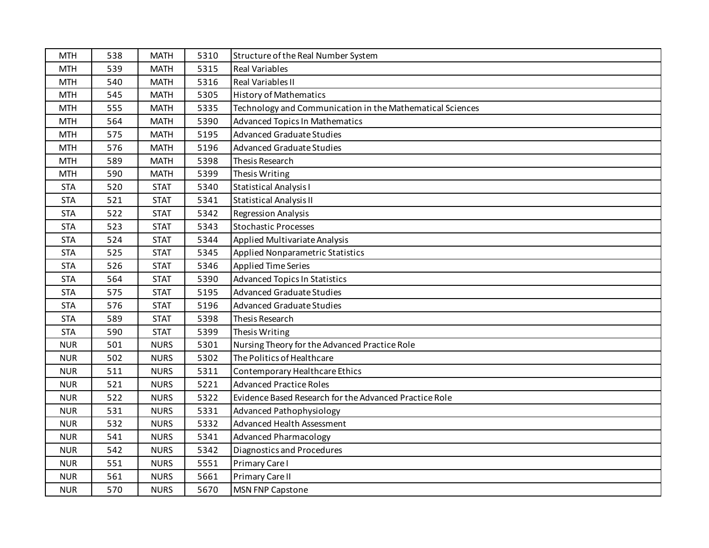| <b>MTH</b> | 538 | <b>MATH</b> | 5310 | Structure of the Real Number System                       |
|------------|-----|-------------|------|-----------------------------------------------------------|
| <b>MTH</b> | 539 | <b>MATH</b> | 5315 | <b>Real Variables</b>                                     |
| <b>MTH</b> | 540 | <b>MATH</b> | 5316 | <b>Real Variables II</b>                                  |
| <b>MTH</b> | 545 | <b>MATH</b> | 5305 | <b>History of Mathematics</b>                             |
| <b>MTH</b> | 555 | <b>MATH</b> | 5335 | Technology and Communication in the Mathematical Sciences |
| <b>MTH</b> | 564 | <b>MATH</b> | 5390 | <b>Advanced Topics In Mathematics</b>                     |
| <b>MTH</b> | 575 | <b>MATH</b> | 5195 | <b>Advanced Graduate Studies</b>                          |
| <b>MTH</b> | 576 | <b>MATH</b> | 5196 | <b>Advanced Graduate Studies</b>                          |
| <b>MTH</b> | 589 | <b>MATH</b> | 5398 | Thesis Research                                           |
| <b>MTH</b> | 590 | <b>MATH</b> | 5399 | Thesis Writing                                            |
| <b>STA</b> | 520 | <b>STAT</b> | 5340 | <b>Statistical Analysis I</b>                             |
| <b>STA</b> | 521 | <b>STAT</b> | 5341 | <b>Statistical Analysis II</b>                            |
| <b>STA</b> | 522 | <b>STAT</b> | 5342 | <b>Regression Analysis</b>                                |
| <b>STA</b> | 523 | <b>STAT</b> | 5343 | <b>Stochastic Processes</b>                               |
| <b>STA</b> | 524 | <b>STAT</b> | 5344 | Applied Multivariate Analysis                             |
| <b>STA</b> | 525 | <b>STAT</b> | 5345 | Applied Nonparametric Statistics                          |
| <b>STA</b> | 526 | <b>STAT</b> | 5346 | <b>Applied Time Series</b>                                |
| <b>STA</b> | 564 | <b>STAT</b> | 5390 | <b>Advanced Topics In Statistics</b>                      |
| <b>STA</b> | 575 | <b>STAT</b> | 5195 | <b>Advanced Graduate Studies</b>                          |
| <b>STA</b> | 576 | <b>STAT</b> | 5196 | <b>Advanced Graduate Studies</b>                          |
| <b>STA</b> | 589 | <b>STAT</b> | 5398 | Thesis Research                                           |
| <b>STA</b> | 590 | <b>STAT</b> | 5399 | Thesis Writing                                            |
| <b>NUR</b> | 501 | <b>NURS</b> | 5301 | Nursing Theory for the Advanced Practice Role             |
| <b>NUR</b> | 502 | <b>NURS</b> | 5302 | The Politics of Healthcare                                |
| <b>NUR</b> | 511 | <b>NURS</b> | 5311 | Contemporary Healthcare Ethics                            |
| <b>NUR</b> | 521 | <b>NURS</b> | 5221 | <b>Advanced Practice Roles</b>                            |
| <b>NUR</b> | 522 | <b>NURS</b> | 5322 | Evidence Based Research for the Advanced Practice Role    |
| <b>NUR</b> | 531 | <b>NURS</b> | 5331 | Advanced Pathophysiology                                  |
| <b>NUR</b> | 532 | <b>NURS</b> | 5332 | Advanced Health Assessment                                |
| <b>NUR</b> | 541 | <b>NURS</b> | 5341 | <b>Advanced Pharmacology</b>                              |
| <b>NUR</b> | 542 | <b>NURS</b> | 5342 | Diagnostics and Procedures                                |
| <b>NUR</b> | 551 | <b>NURS</b> | 5551 | Primary Care I                                            |
| <b>NUR</b> | 561 | <b>NURS</b> | 5661 | Primary Care II                                           |
| <b>NUR</b> | 570 | <b>NURS</b> | 5670 | <b>MSN FNP Capstone</b>                                   |